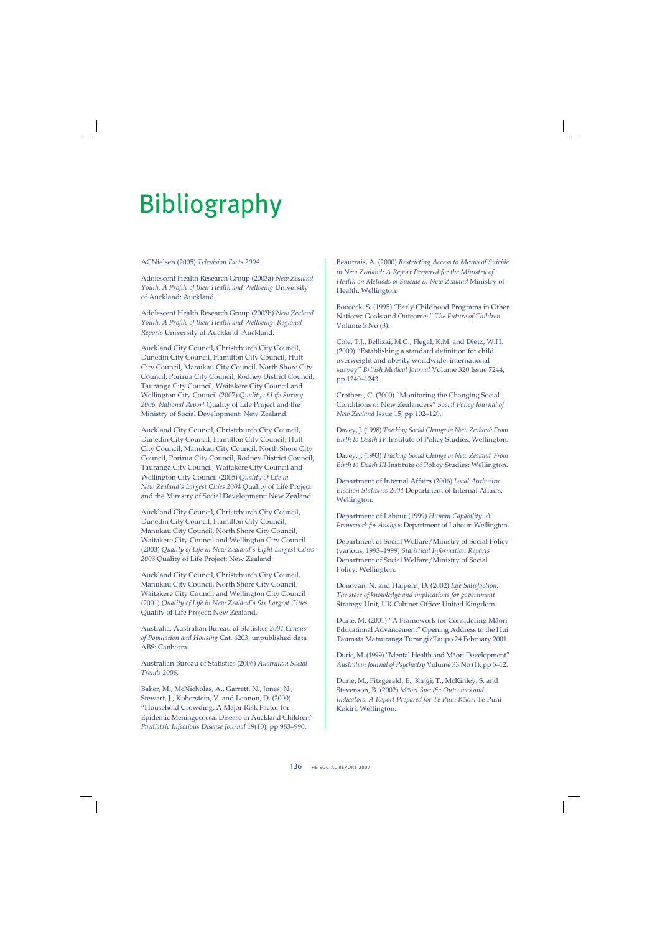# Bibliography

#### ACNielsen (2005) *Television Facts 2004*.

Adolescent Health Research Group (2003a) *New Zealand*  Youth: A Profile of their Health and Wellbeing University of Auckland: Auckland.

Adolescent Health Research Group (2003b) *New Zealand*  Youth: A Profile of their Health and Wellbeing: Regional *Reports* University of Auckland: Auckland.

Auckland City Council, Christchurch City Council, Dunedin City Council, Hamilton City Council, Hutt City Council, Manukau City Council, North Shore City Council, Porirua City Council, Rodney District Council, Tauranga City Council, Waitakere City Council and Wellington City Council (2007) *Quality of Life Survey 2006: National Report* Quality of Life Project and the Ministry of Social Development: New Zealand.

Auckland City Council, Christchurch City Council, Dunedin City Council, Hamilton City Council, Hutt City Council, Manukau City Council, North Shore City Council, Porirua City Council, Rodney District Council, Tauranga City Council, Waitakere City Council and Wellington City Council (2005) *Quality of Life in New Zealand's Largest Cities 2004* Quality of Life Project and the Ministry of Social Development: New Zealand.

Auckland City Council, Christchurch City Council, Dunedin City Council, Hamilton City Council, Manukau City Council, North Shore City Council, Waitakere City Council and Wellington City Council (2003) *Quality of Life in New Zealand's Eight Largest Cities 2003* Quality of Life Project: New Zealand.

Auckland City Council, Christchurch City Council, Manukau City Council, North Shore City Council, Waitakere City Council and Wellington City Council (2001) *Quality of Life in New Zealand's Six Largest Cities* Quality of Life Project: New Zealand.

Australia: Australian Bureau of Statistics *2001 Census of Population and Housing* Cat. 6203, unpublished data ABS: Canberra.

Australian Bureau of Statistics (2006) *Australian Social Trends 2006*.

Baker, M., McNicholas, A., Garrett, N., Jones, N., Stewart, J., Koberstein, V. and Lennon, D. (2000) "Household Crowding: A Major Risk Factor for Epidemic Meningococcal Disease in Auckland Children" *Paediatric Infectious Disease Journal* 19(10), pp 983–990.

Beautrais, A. (2000) *Restricting Access to Means of Suicide in New Zealand: A Report Prepared for the Ministry of Health on Methods of Suicide in New Zealand* Ministry of Health: Wellington.

Boocock, S. (1995) "Early Childhood Programs in Other Nations: Goals and Outcomes" *The Future of Children* Volume 5 No (3).

Cole, T.J., Bellizzi, M.C., Flegal, K.M. and Dietz, W.H. (2000) "Establishing a standard definition for child overweight and obesity worldwide: international survey" *British Medical Journal* Volume 320 Issue 7244, pp 1240–1243.

Crothers, C. (2000) "Monitoring the Changing Social Conditions of New Zealanders" *Social Policy Journal of New Zealand* Issue 15, pp 102–120.

Davey, J. (1998) *Tracking Social Change in New Zealand: From Birth to Death IV* Institute of Policy Studies: Wellington.

Davey, J. (1993) *Tracking Social Change in New Zealand: From Birth to Death III* Institute of Policy Studies: Wellington.

Department of Internal Affairs (2006) *Local Authority Election Statistics 2004* Department of Internal Affairs: Wellington.

Department of Labour (1999) *Human Capability: A Framework for Analysis* Department of Labour: Wellington.

Department of Social Welfare/Ministry of Social Policy (various, 1993–1999) *Statistical Information Reports* Department of Social Welfare/Ministry of Social Policy: Wellington.

Donovan, N. and Halpern, D. (2002) *Life Satisfaction: The state of knowledge and implications for government* Strategy Unit, UK Cabinet Office: United Kingdom.

Durie, M. (2001) "A Framework for Considering Mäori Educational Advancement" Opening Address to the Hui Taumata Matauranga Turangi/Taupo 24 February 2001.

Durie, M. (1999) "Mental Health and Mäori Development" *Australian Journal of Psychiatry* Volume 33 No (1), pp 5–12.

Durie, M., Fitzgerald, E., Kingi, T., McKinley, S. and Stevenson, B. (2002) *Māori Specific Outcomes and Indicators: A Report Prepared for Te Puni Kökiri* Te Puni Kökiri: Wellington.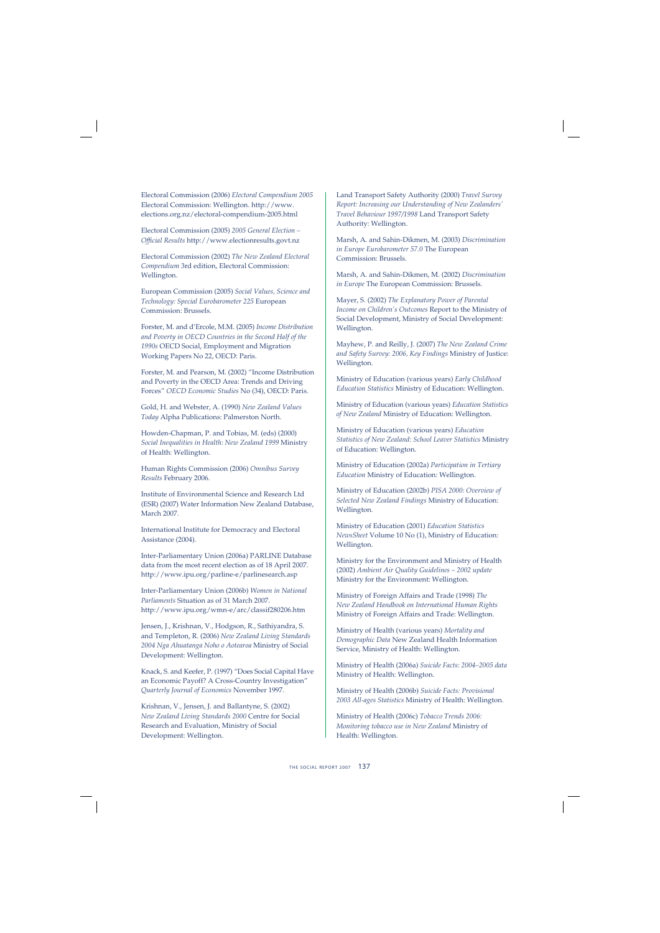Electoral Commission (2006) *Electoral Compendium 2005* Electoral Commission: Wellington. http://www. elections.org.nz/electoral-compendium-2005.html

Electoral Commission (2005) *2005 General Election – Offi cial Results* http://www.electionresults.govt.nz

Electoral Commission (2002) *The New Zealand Electoral Compendium* 3rd edition, Electoral Commission: Wellington.

European Commission (2005) *Social Values, Science and Technology: Special Eurobarometer 225* European Commission: Brussels.

Forster, M. and d'Ercole, M.M. (2005) *Income Distribution and Poverty in OECD Countries in the Second Half of the 1990s* OECD Social, Employment and Migration Working Papers No 22, OECD: Paris.

Forster, M. and Pearson, M. (2002) "Income Distribution and Poverty in the OECD Area: Trends and Driving Forces" *OECD Economic Studies* No (34), OECD: Paris.

Gold, H. and Webster, A. (1990) *New Zealand Values Today* Alpha Publications: Palmerston North.

Howden-Chapman, P. and Tobias, M. (eds) (2000) *Social Inequalities in Health: New Zealand 1999* Ministry of Health: Wellington.

Human Rights Commission (2006) *Omnibus Survey Results* February 2006.

Institute of Environmental Science and Research Ltd (ESR) (2007) Water Information New Zealand Database, March 2007.

International Institute for Democracy and Electoral Assistance (2004).

Inter-Parliamentary Union (2006a) PARLINE Database data from the most recent election as of 18 April 2007. http://www.ipu.org/parline-e/parlinesearch.asp

Inter-Parliamentary Union (2006b) *Women in National Parliaments* Situation as of 31 March 2007. http://www.ipu.org/wmn-e/arc/classif280206.htm

Jensen, J., Krishnan, V., Hodgson, R., Sathiyandra, S. and Templeton, R. (2006) *New Zealand Living Standards 2004 Nga Ahuatanga Noho o Aotearoa* Ministry of Social Development: Wellington.

Knack, S. and Keefer, P. (1997) "Does Social Capital Have an Economic Payoff? A Cross-Country Investigation" *Quarterly Journal of Economics* November 1997.

Krishnan, V., Jensen, J. and Ballantyne, S. (2002) *New Zealand Living Standards 2000* Centre for Social Research and Evaluation, Ministry of Social Development: Wellington.

Land Transport Safety Authority (2000) *Travel Survey Report: Increasing our Understanding of New Zealanders' Travel Behaviour 1997/1998* Land Transport Safety Authority: Wellington.

Marsh, A. and Sahin-Dikmen, M. (2003) *Discrimination in Europe Eurobarometer 57.0* The European Commission: Brussels.

Marsh, A. and Sahin-Dikmen, M. (2002) *Discrimination in Europe* The European Commission: Brussels.

Mayer, S. (2002) *The Explanatory Power of Parental Income on Children's Outcomes* Report to the Ministry of Social Development, Ministry of Social Development: Wellington.

Mayhew, P. and Reilly, J. (2007) *The New Zealand Crime and Safety Survey: 2006, Key Findings* Ministry of Justice: Wellington.

Ministry of Education (various years) *Early Childhood Education Statistics* Ministry of Education: Wellington.

Ministry of Education (various years) *Education Statistics of New Zealand* Ministry of Education: Wellington.

Ministry of Education (various years) *Education Statistics of New Zealand: School Leaver Statistics* Ministry of Education: Wellington.

Ministry of Education (2002a) *Participation in Tertiary Education* Ministry of Education: Wellington.

Ministry of Education (2002b) *PISA 2000: Overview of Selected New Zealand Findings* Ministry of Education: Wellington.

Ministry of Education (2001) *Education Statistics NewsSheet* Volume 10 No (1), Ministry of Education: Wellington.

Ministry for the Environment and Ministry of Health (2002) *Ambient Air Quality Guidelines – 2002 update*  Ministry for the Environment: Wellington.

Ministry of Foreign Affairs and Trade (1998) *The New Zealand Handbook on International Human Rights* Ministry of Foreign Affairs and Trade: Wellington.

Ministry of Health (various years) *Mortality and Demographic Data* New Zealand Health Information Service, Ministry of Health: Wellington.

Ministry of Health (2006a) *Suicide Facts: 2004–2005 data* Ministry of Health: Wellington.

Ministry of Health (2006b) *Suicide Facts: Provisional 2003 All-ages Statistics* Ministry of Health: Wellington.

Ministry of Health (2006c) *Tobacco Trends 2006: Monitoring tobacco use in New Zealand* Ministry of Health: Wellington.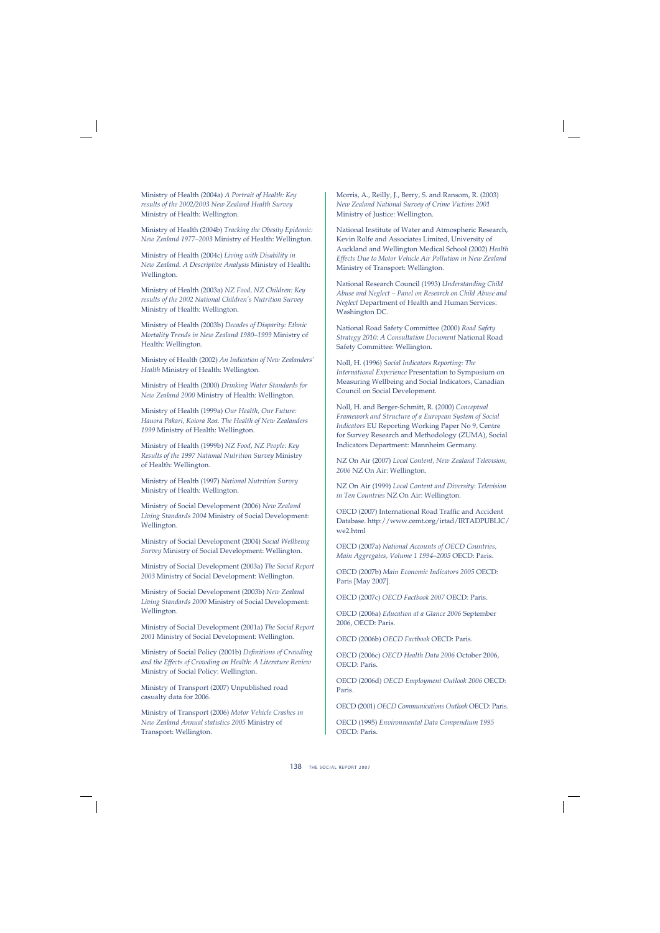Ministry of Health (2004a) *A Portrait of Health: Key results of the 2002/2003 New Zealand Health Survey* Ministry of Health: Wellington.

Ministry of Health (2004b) *Tracking the Obesity Epidemic: New Zealand 1977–2003* Ministry of Health: Wellington.

Ministry of Health (2004c) *Living with Disability in New Zealand. A Descriptive Analysis* Ministry of Health: Wellington.

Ministry of Health (2003a) *NZ Food, NZ Children: Key results of the 2002 National Children's Nutrition Survey* Ministry of Health: Wellington.

Ministry of Health (2003b) *Decades of Disparity: Ethnic Mortality Trends in New Zealand 1980–1999* Ministry of Health: Wellington.

Ministry of Health (2002) *An Indication of New Zealanders' Health* Ministry of Health: Wellington.

Ministry of Health (2000) *Drinking Water Standards for New Zealand 2000* Ministry of Health: Wellington.

Ministry of Health (1999a) *Our Health, Our Future: Hauora Pakari, Koiora Roa. The Health of New Zealanders 1999* Ministry of Health: Wellington.

Ministry of Health (1999b) *NZ Food, NZ People: Key Results of the 1997 National Nutrition Survey* Ministry of Health: Wellington.

Ministry of Health (1997) *National Nutrition Survey*  Ministry of Health: Wellington.

Ministry of Social Development (2006) *New Zealand Living Standards 2004* Ministry of Social Development: Wellington.

Ministry of Social Development (2004) *Social Wellbeing Survey* Ministry of Social Development: Wellington.

Ministry of Social Development (2003a) *The Social Report 2003* Ministry of Social Development: Wellington.

Ministry of Social Development (2003b) *New Zealand Living Standards 2000* Ministry of Social Development: Wellington.

Ministry of Social Development (2001a) *The Social Report 2001* Ministry of Social Development: Wellington.

Ministry of Social Policy (2001b) *Definitions of Crowding and the Effects of Crowding on Health: A Literature Review* Ministry of Social Policy: Wellington.

Ministry of Transport (2007) Unpublished road casualty data for 2006.

Ministry of Transport (2006) *Motor Vehicle Crashes in New Zealand Annual statistics 2005* Ministry of Transport: Wellington.

Morris, A., Reilly, J., Berry, S. and Ransom, R. (2003) *New Zealand National Survey of Crime Victims 2001* Ministry of Justice: Wellington.

National Institute of Water and Atmospheric Research, Kevin Rolfe and Associates Limited, University of Auckland and Wellington Medical School (2002) *Health Effects Due to Motor Vehicle Air Pollution in New Zealand* Ministry of Transport: Wellington.

National Research Council (1993) *Understanding Child Abuse and Neglect – Panel on Research on Child Abuse and Neglect* Department of Health and Human Services: Washington DC.

National Road Safety Committee (2000) *Road Safety Strategy 2010: A Consultation Document* National Road Safety Committee: Wellington.

Noll, H. (1996) *Social Indicators Reporting: The International Experience* Presentation to Symposium on Measuring Wellbeing and Social Indicators, Canadian Council on Social Development.

Noll, H. and Berger-Schmitt, R. (2000) *Conceptual Framework and Structure of a European System of Social Indicators* EU Reporting Working Paper No 9, Centre for Survey Research and Methodology (ZUMA), Social Indicators Department: Mannheim Germany.

NZ On Air (2007) *Local Content, New Zealand Television, 2006* NZ On Air: Wellington.

NZ On Air (1999) *Local Content and Diversity: Television in Ten Countries* NZ On Air: Wellington.

OECD (2007) International Road Traffic and Accident Database. http://www.cemt.org/irtad/IRTADPUBLIC/ we2.html

OECD (2007a) *National Accounts of OECD Countries, Main Aggregates, Volume 1 1994–2005* OECD: Paris.

OECD (2007b) *Main Economic Indicators 2005* OECD: Paris [May 2007].

OECD (2007c) *OECD Factbook 2007* OECD: Paris.

OECD (2006a) *Education at a Glance 2006* September 2006, OECD: Paris.

OECD (2006b) *OECD Factbook* OECD: Paris.

OECD (2006c) *OECD Health Data 2006* October 2006, OECD: Paris.

OECD (2006d) *OECD Employment Outlook 2006* OECD: Paris.

OECD (2001) *OECD Communications Outlook* OECD: Paris.

OECD (1995) *Environmental Data Compendium 1995* OECD: Paris.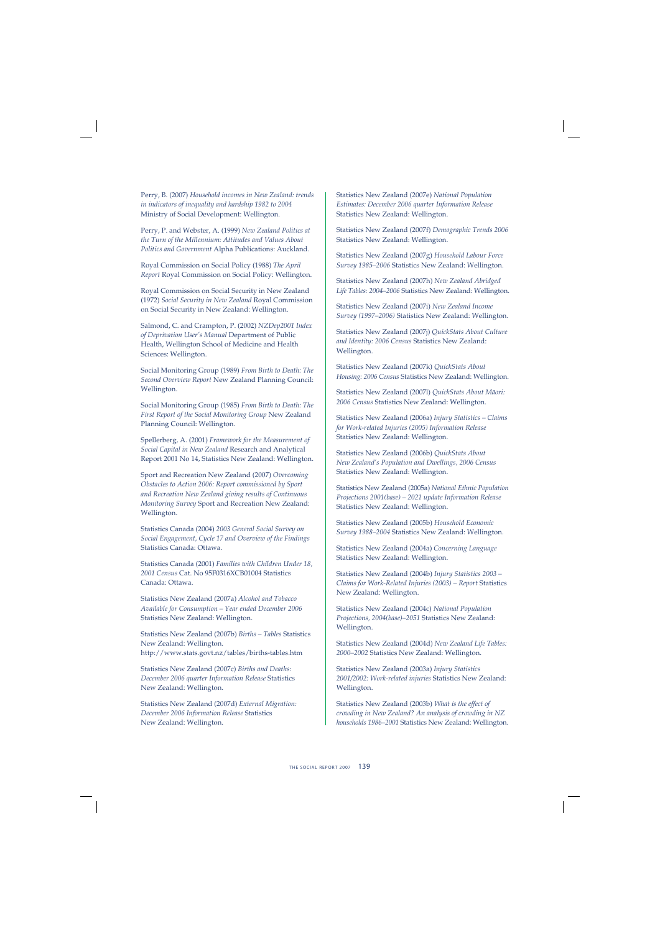Perry, B. (2007) *Household incomes in New Zealand: trends in indicators of inequality and hardship 1982 to 2004* Ministry of Social Development: Wellington.

Perry, P. and Webster, A. (1999) *New Zealand Politics at the Turn of the Millennium: Attitudes and Values About Politics and Government* Alpha Publications: Auckland.

Royal Commission on Social Policy (1988) *The April Report* Royal Commission on Social Policy: Wellington.

Royal Commission on Social Security in New Zealand (1972) *Social Security in New Zealand* Royal Commission on Social Security in New Zealand: Wellington.

Salmond, C. and Crampton, P. (2002) *NZDep2001 Index of Deprivation User's Manual* Department of Public Health, Wellington School of Medicine and Health Sciences: Wellington.

Social Monitoring Group (1989) *From Birth to Death: The Second Overview Report* New Zealand Planning Council: Wellington.

Social Monitoring Group (1985) *From Birth to Death: The First Report of the Social Monitoring Group* New Zealand Planning Council: Wellington.

Spellerberg, A. (2001) *Framework for the Measurement of Social Capital in New Zealand* Research and Analytical Report 2001 No 14, Statistics New Zealand: Wellington.

Sport and Recreation New Zealand (2007) *Overcoming Obstacles to Action 2006: Report commissioned by Sport and Recreation New Zealand giving results of Continuous Monitoring Survey* Sport and Recreation New Zealand: Wellington.

Statistics Canada (2004) *2003 General Social Survey on Social Engagement, Cycle 17 and Overview of the Findings* Statistics Canada: Ottawa.

Statistics Canada (2001) *Families with Children Under 18, 2001 Census* Cat. No 95F0316XCB01004 Statistics Canada: Ottawa.

Statistics New Zealand (2007a) *Alcohol and Tobacco Available for Consumption – Year ended December 2006* Statistics New Zealand: Wellington.

Statistics New Zealand (2007b) *Births – Tables* Statistics New Zealand: Wellington. http://www.stats.govt.nz/tables/births-tables.htm

Statistics New Zealand (2007c) *Births and Deaths: December 2006 quarter Information Release* Statistics New Zealand: Wellington.

Statistics New Zealand (2007d) *External Migration: December 2006 Information Release* Statistics New Zealand: Wellington.

Statistics New Zealand (2007e) *National Population Estimates: December 2006 quarter Information Release* Statistics New Zealand: Wellington.

Statistics New Zealand (2007f) *Demographic Trends 2006* Statistics New Zealand: Wellington.

Statistics New Zealand (2007g) *Household Labour Force Survey 1985–2006* Statistics New Zealand: Wellington.

Statistics New Zealand (2007h) *New Zealand Abridged Life Tables: 2004–2006* Statistics New Zealand: Wellington.

Statistics New Zealand (2007i) *New Zealand Income Survey (1997–2006)* Statistics New Zealand: Wellington.

Statistics New Zealand (2007j) *QuickStats About Culture and Identity: 2006 Census* Statistics New Zealand: Wellington.

Statistics New Zealand (2007k) *QuickStats About Housing: 2006 Census* Statistics New Zealand: Wellington.

Statistics New Zealand (2007l) *QuickStats About Mäori: 2006 Census* Statistics New Zealand: Wellington.

Statistics New Zealand (2006a) *Injury Statistics – Claims for Work-related Injuries (2005) Information Release* Statistics New Zealand: Wellington.

Statistics New Zealand (2006b) *QuickStats About New Zealand's Population and Dwellings, 2006 Census* Statistics New Zealand: Wellington.

Statistics New Zealand (2005a) *National Ethnic Population Projections 2001(base) – 2021 update Information Release* Statistics New Zealand: Wellington.

Statistics New Zealand (2005b) *Household Economic Survey 1988–2004* Statistics New Zealand: Wellington.

Statistics New Zealand (2004a) *Concerning Language*  Statistics New Zealand: Wellington.

Statistics New Zealand (2004b) *Injury Statistics 2003 – Claims for Work-Related Injuries (2003) – Report* Statistics New Zealand: Wellington.

Statistics New Zealand (2004c) *National Population Projections, 2004(base)–2051* Statistics New Zealand: Wellington.

Statistics New Zealand (2004d) *New Zealand Life Tables: 2000–2002* Statistics New Zealand: Wellington.

Statistics New Zealand (2003a) *Injury Statistics 2001/2002: Work-related injuries* Statistics New Zealand: Wellington.

Statistics New Zealand (2003b) *What is the effect of crowding in New Zealand? An analysis of crowding in NZ households 1986–2001* Statistics New Zealand: Wellington.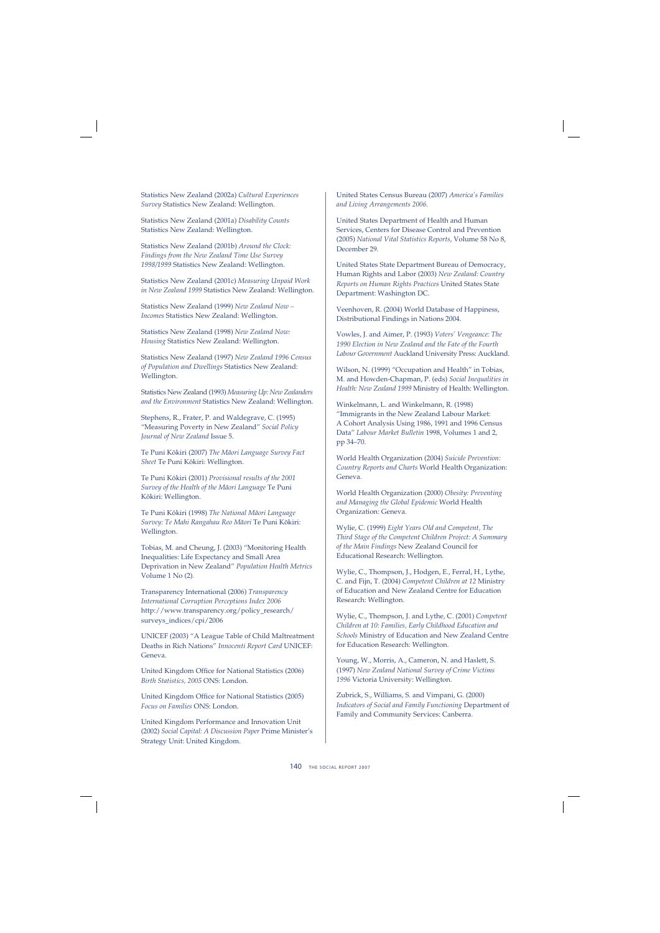Statistics New Zealand (2002a) *Cultural Experiences Survey* Statistics New Zealand: Wellington.

Statistics New Zealand (2001a) *Disability Counts*  Statistics New Zealand: Wellington.

Statistics New Zealand (2001b) *Around the Clock: Findings from the New Zealand Time Use Survey 1998/1999* Statistics New Zealand: Wellington.

Statistics New Zealand (2001c) *Measuring Unpaid Work in New Zealand 1999* Statistics New Zealand: Wellington.

Statistics New Zealand (1999) *New Zealand Now – Incomes* Statistics New Zealand: Wellington.

Statistics New Zealand (1998) *New Zealand Now: Housing* Statistics New Zealand: Wellington.

Statistics New Zealand (1997) *New Zealand 1996 Census of Population and Dwellings* Statistics New Zealand: Wellington.

Statistics New Zealand (1993) *Measuring Up: New Zealanders and the Environment* Statistics New Zealand: Wellington.

Stephens, R., Frater, P. and Waldegrave, C. (1995) "Measuring Poverty in New Zealand" *Social Policy Journal of New Zealand* Issue 5.

Te Puni Kökiri (2007) *The Mäori Language Survey Fact Sheet* Te Puni Kökiri: Wellington.

Te Puni Kökiri (2001) *Provisional results of the 2001 Survey of the Health of the Mäori Language* Te Puni Kökiri: Wellington.

Te Puni Kökiri (1998) *The National Mäori Language Survey: Te Mahi Rangahau Reo Mäori* Te Puni Kökiri: Wellington.

Tobias, M. and Cheung, J. (2003) "Monitoring Health Inequalities: Life Expectancy and Small Area Deprivation in New Zealand" *Population Health Metrics* Volume 1 No (2).

Transparency International (2006) *Transparency International Corruption Perceptions Index 2006* http://www.transparency.org/policy\_research/ surveys\_indices/cpi/2006

UNICEF (2003) "A League Table of Child Maltreatment Deaths in Rich Nations" *Innocenti Report Card* UNICEF: Geneva.

United Kingdom Office for National Statistics (2006) *Birth Statistics, 2005* ONS: London.

United Kingdom Office for National Statistics (2005) *Focus on Families* ONS: London.

United Kingdom Performance and Innovation Unit (2002) *Social Capital: A Discussion Paper* Prime Minister's Strategy Unit: United Kingdom.

United States Census Bureau (2007) *America's Families and Living Arrangements 2006.*

United States Department of Health and Human Services, Centers for Disease Control and Prevention (2005) *National Vital Statistics Reports*, Volume 58 No 8, December 29.

United States State Department Bureau of Democracy, Human Rights and Labor (2003) *New Zealand: Country Reports on Human Rights Practices* United States State Department: Washington DC.

Veenhoven, R. (2004) World Database of Happiness, Distributional Findings in Nations 2004.

Vowles, J. and Aimer, P. (1993) *Voters' Vengeance: The 1990 Election in New Zealand and the Fate of the Fourth Labour Government* Auckland University Press: Auckland.

Wilson, N. (1999) "Occupation and Health" in Tobias, M. and Howden-Chapman, P. (eds) *Social Inequalities in Health: New Zealand 1999* Ministry of Health: Wellington.

Winkelmann, L. and Winkelmann, R. (1998) "Immigrants in the New Zealand Labour Market: A Cohort Analysis Using 1986, 1991 and 1996 Census Data" *Labour Market Bulletin* 1998, Volumes 1 and 2, pp 34–70.

World Health Organization (2004) *Suicide Prevention: Country Reports and Charts* World Health Organization: Geneva.

World Health Organization (2000) *Obesity: Preventing and Managing the Global Epidemic* World Health Organization: Geneva.

Wylie, C. (1999) *Eight Years Old and Competent, The Third Stage of the Competent Children Project: A Summary of the Main Findings* New Zealand Council for Educational Research: Wellington.

Wylie, C., Thompson, J., Hodgen, E., Ferral, H., Lythe, C. and Fijn, T. (2004) *Competent Children at 12* Ministry of Education and New Zealand Centre for Education Research: Wellington.

Wylie, C., Thompson, J. and Lythe, C. (2001) *Competent Children at 10: Families, Early Childhood Education and Schools* Ministry of Education and New Zealand Centre for Education Research: Wellington.

Young, W., Morris, A., Cameron, N. and Haslett, S. (1997) *New Zealand National Survey of Crime Victims 1996* Victoria University: Wellington.

Zubrick, S., Williams, S. and Vimpani, G. (2000) *Indicators of Social and Family Functioning* Department of Family and Community Services: Canberra.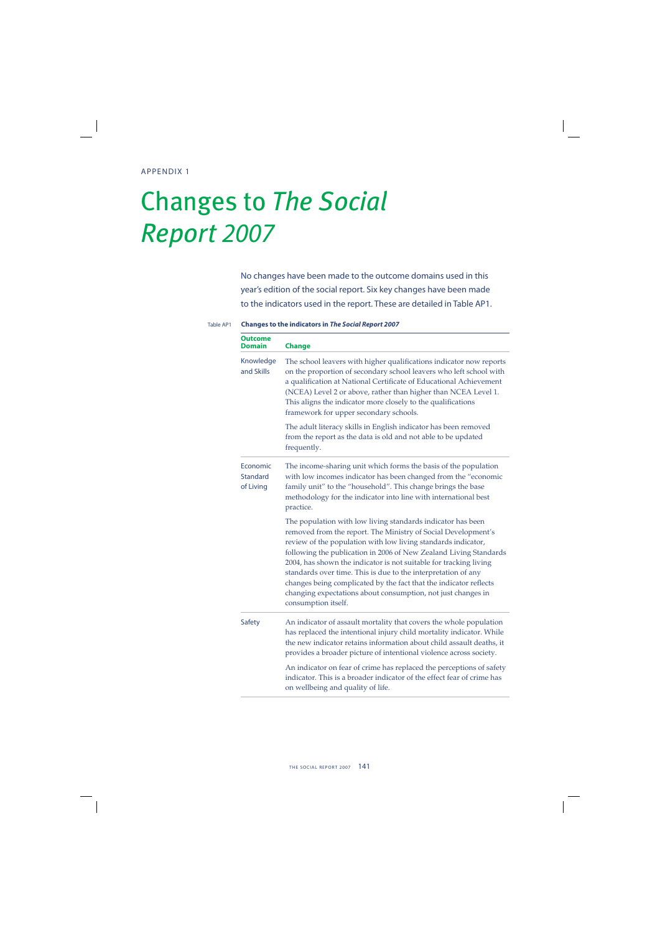# Changes to *The Social Report* 2007

No changes have been made to the outcome domains used in this year's edition of the social report. Six key changes have been made to the indicators used in the report. These are detailed in Table AP1.

| Outcome<br>Domain                 | <b>Change</b>                                                                                                                                                                                                                                                                                                                                                                                                                                                                                                                                                        |
|-----------------------------------|----------------------------------------------------------------------------------------------------------------------------------------------------------------------------------------------------------------------------------------------------------------------------------------------------------------------------------------------------------------------------------------------------------------------------------------------------------------------------------------------------------------------------------------------------------------------|
| Knowledge<br>and Skills           | The school leavers with higher qualifications indicator now reports<br>on the proportion of secondary school leavers who left school with<br>a qualification at National Certificate of Educational Achievement<br>(NCEA) Level 2 or above, rather than higher than NCEA Level 1.<br>This aligns the indicator more closely to the qualifications<br>framework for upper secondary schools.                                                                                                                                                                          |
|                                   | The adult literacy skills in English indicator has been removed<br>from the report as the data is old and not able to be updated<br>frequently.                                                                                                                                                                                                                                                                                                                                                                                                                      |
| Economic<br>Standard<br>of Living | The income-sharing unit which forms the basis of the population<br>with low incomes indicator has been changed from the "economic<br>family unit" to the "household". This change brings the base<br>methodology for the indicator into line with international best<br>practice.                                                                                                                                                                                                                                                                                    |
|                                   | The population with low living standards indicator has been<br>removed from the report. The Ministry of Social Development's<br>review of the population with low living standards indicator,<br>following the publication in 2006 of New Zealand Living Standards<br>2004, has shown the indicator is not suitable for tracking living<br>standards over time. This is due to the interpretation of any<br>changes being complicated by the fact that the indicator reflects<br>changing expectations about consumption, not just changes in<br>consumption itself. |
| Safety                            | An indicator of assault mortality that covers the whole population<br>has replaced the intentional injury child mortality indicator. While<br>the new indicator retains information about child assault deaths, it<br>provides a broader picture of intentional violence across society.                                                                                                                                                                                                                                                                             |
|                                   | An indicator on fear of crime has replaced the perceptions of safety<br>indicator. This is a broader indicator of the effect fear of crime has<br>on wellbeing and quality of life.                                                                                                                                                                                                                                                                                                                                                                                  |

#### Table AP1 **Changes to the indicators in** *The Social Report 2007*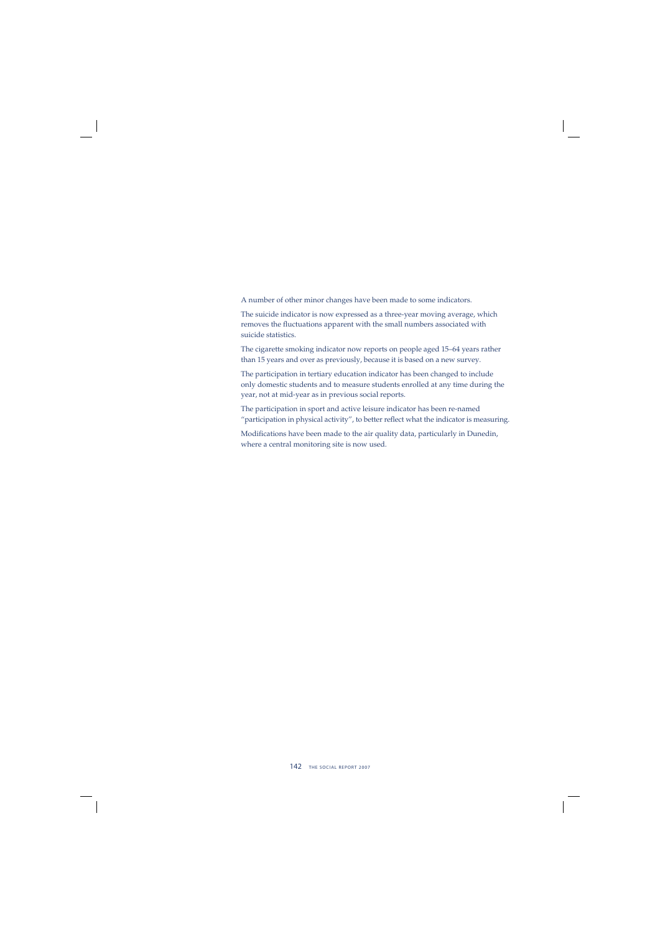A number of other minor changes have been made to some indicators.

The suicide indicator is now expressed as a three-year moving average, which removes the fluctuations apparent with the small numbers associated with suicide statistics.

The cigarette smoking indicator now reports on people aged 15–64 years rather than 15 years and over as previously, because it is based on a new survey.

The participation in tertiary education indicator has been changed to include only domestic students and to measure students enrolled at any time during the year, not at mid-year as in previous social reports.

The participation in sport and active leisure indicator has been re-named "participation in physical activity", to better reflect what the indicator is measuring.

Modifications have been made to the air quality data, particularly in Dunedin, where a central monitoring site is now used.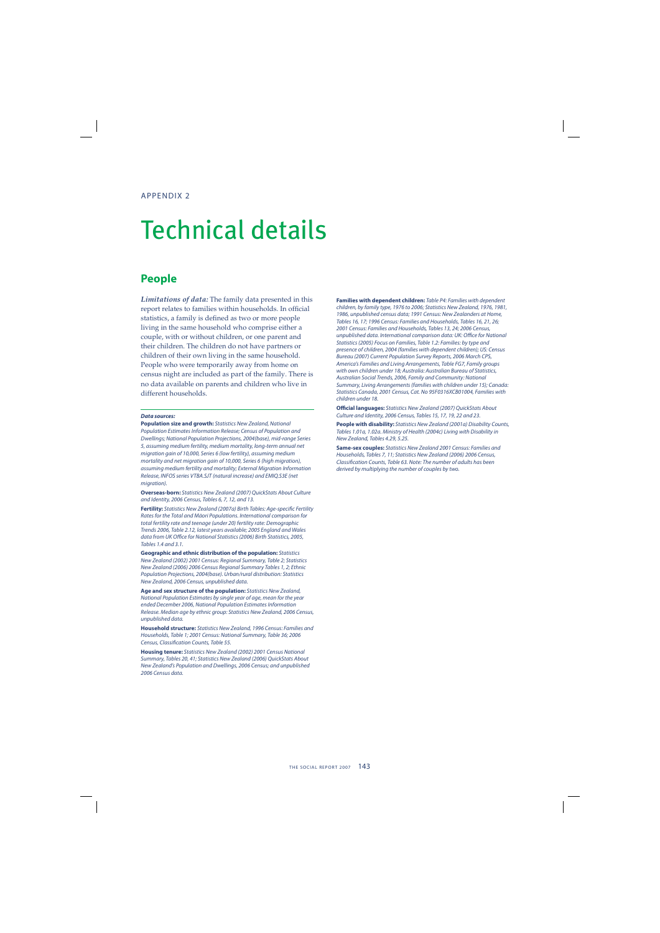# Technical details

### **People**

*Limitations of data:* The family data presented in this report relates to families within households. In official statistics, a family is defined as two or more people living in the same household who comprise either a couple, with or without children, or one parent and their children. The children do not have partners or children of their own living in the same household. People who were temporarily away from home on census night are included as part of the family. There is no data available on parents and children who live in different households.

#### *Data sources:*

**Population size and growth:** Statistics New Zealand, National Population Estimates Information Release; Census of Population and Dwellings; National Population Projections, 2004(base), mid-range Series 5, assuming medium fertility, medium mortality, long-term annual net migration gain of 10,000, Series 6 (low fertility), assuming medium mortality and net migration gain of 10,000, Series 6 (high migration), assuming medium fertility and mortality; External Migration Information Release, INFOS series VTBA.SJT (natural increase) and EMIQ.S3E (net migration).

**Overseas-born:** Statistics New Zealand (2007) QuickStats About Culture and Identity, 2006 Census, Tables 6, 7, 12, and 13.

**Fertility:** Statistics New Zealand (2007a) Birth Tables: Age-specific Fertility Rates for the Total and Mäori Populations. International comparison for total fertility rate and teenage (under 20) fertility rate: Demographic Trends 2006, Table 2.12, latest years available; 2005 England and Wales data from UK Office for National Statistics (2006) Birth Statistics, 2005, Tables 1.4 and 3.1.

**Geographic and ethnic distribution of the population:** Statistics New Zealand (2002) 2001 Census: Regional Summary, Table 2; Statistics New Zealand (2006) 2006 Census Regional Summary Tables 1, 2; Ethnic Population Projections, 2004(base). Urban/rural distribution: Statistics New Zealand, 2006 Census, unpublished data.

**Age and sex structure of the population:** Statistics New Zealand, National Population Estimates by single year of age, mean for the year ended December 2006, National Population Estimates Information Release. Median age by ethnic group: Statistics New Zealand, 2006 Census, unpublished data.

**Household structure:** Statistics New Zealand, 1996 Census: Families and Households, Table 1; 2001 Census: National Summary, Table 36; 2006 Census, Classification Counts, Table 55.

**Housing tenure:** Statistics New Zealand (2002) 2001 Census National Summary, Tables 20, 41; Statistics New Zealand (2006) QuickStats About New Zealand's Population and Dwellings, 2006 Census; and unpublished 2006 Census data.

**Families with dependent children:** Table P4: Families with dependent children, by family type, 1976 to 2006; Statistics New Zealand, 1976, 1981, 1986, unpublished census data; 1991 Census: New Zealanders at Home, Tables 16, 17; 1996 Census: Families and Households, Tables 16, 21, 26; 2001 Census: Families and Households, Tables 13, 24; 2006 Census, unpublished data. International comparison data: UK: Office for National Statistics (2005) Focus on Families, Table 1.2: Families: by type and presence of children, 2004 (families with dependent children); US: Census Bureau (2007) Current Population Survey Reports, 2006 March CPS, America's Families and Living Arrangements, Table FG7, Family groups with own children under 18: Australia: Australian Bureau of Statistics, Australian Social Trends, 2006, Family and Community: National Summary, Living Arrangements (families with children under 15); Canada: Statistics Canada, 2001 Census, Cat. No 95F0316XCB01004, Families with children under 18.

**Official languages:** Statistics New Zealand (2007) QuickStats About Culture and Identity, 2006 Census, Tables 15, 17, 19, 22 and 23.

**People with disability:** Statistics New Zealand (2001a) Disability Counts, Tables 1.01a, 1.02a. Ministry of Health (2004c) Living with Disability in New Zealand, Tables 4.29, 5.25.

**Same-sex couples:** Statistics New Zealand 2001 Census: Families and Households, Tables 7, 11; Statistics New Zealand (2006) 2006 Census, Classification Counts, Table 63. Note: The number of adults has been derived by multiplying the number of couples by two.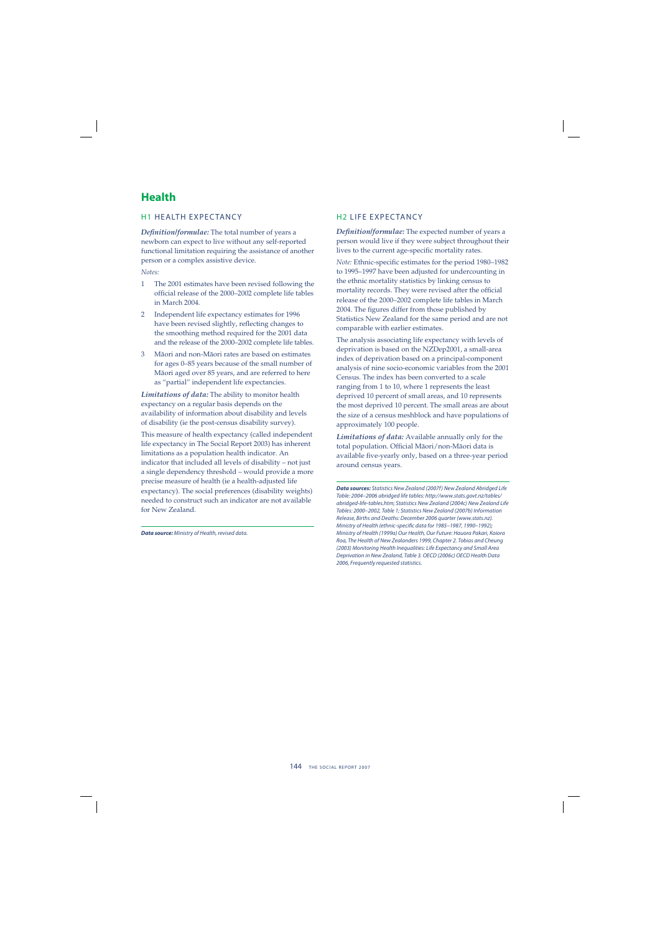## **Health**

#### H1 HEALTH EXPEC TANCY

*Defi nition/formulae:* The total number of years a newborn can expect to live without any self-reported functional limitation requiring the assistance of another person or a complex assistive device.

*Notes:*

- 1 The 2001 estimates have been revised following the official release of the 2000–2002 complete life tables in March 2004.
- 2 Independent life expectancy estimates for 1996 have been revised slightly, reflecting changes to the smoothing method required for the 2001 data and the release of the 2000–2002 complete life tables.
- 3 Mäori and non-Mäori rates are based on estimates for ages 0–85 years because of the small number of Mäori aged over 85 years, and are referred to here as "partial" independent life expectancies.

*Limitations of data:* The ability to monitor health expectancy on a regular basis depends on the availability of information about disability and levels of disability (ie the post-census disability survey).

This measure of health expectancy (called independent life expectancy in The Social Report 2003) has inherent limitations as a population health indicator. An indicator that included all levels of disability – not just a single dependency threshold – would provide a more precise measure of health (ie a health-adjusted life expectancy). The social preferences (disability weights) needed to construct such an indicator are not available for New Zealand.

*Data source:* Ministry of Health, revised data.

#### H2 LIFE EXPECTANCY

*Definition/formulae:* The expected number of years a person would live if they were subject throughout their lives to the current age-specific mortality rates.

*Note:* Ethnic-specific estimates for the period 1980–1982 to 1995–1997 have been adjusted for undercounting in the ethnic mortality statistics by linking census to mortality records. They were revised after the official release of the 2000–2002 complete life tables in March 2004. The figures differ from those published by Statistics New Zealand for the same period and are not comparable with earlier estimates.

The analysis associating life expectancy with levels of deprivation is based on the NZDep2001, a small-area index of deprivation based on a principal-component analysis of nine socio-economic variables from the 2001 Census. The index has been converted to a scale ranging from 1 to 10, where 1 represents the least deprived 10 percent of small areas, and 10 represents the most deprived 10 percent. The small areas are about the size of a census meshblock and have populations of approximately 100 people.

*Limitations of data:* Available annually only for the total population. Official Māori/non-Māori data is available five-yearly only, based on a three-year period around census years.

*Data sources:* Statistics New Zealand (2007f) New Zealand Abridged Life Table: 2004–2006 abridged life tables: http://www.stats.govt.nz/tables/ abridged-life-tables.htm; Statistics New Zealand (2004c) New Zealand Life Tables: 2000–2002, Table 1; Statistics New Zealand (2007b) Information Release, Births and Deaths: December 2006 quarter (www.stats.nz). Ministry of Health (ethnic-specific data for 1985-1987, 1990-1992); Ministry of Health (1999a) Our Health, Our Future: Hauora Pakari, Koiora Roa, The Health of New Zealanders 1999, Chapter 2. Tobias and Cheung (2003) Monitoring Health Inequalities: Life Expectancy and Small Area Deprivation in New Zealand, Table 3. OECD (2006c) OECD Health Data 2006, Frequently requested statistics.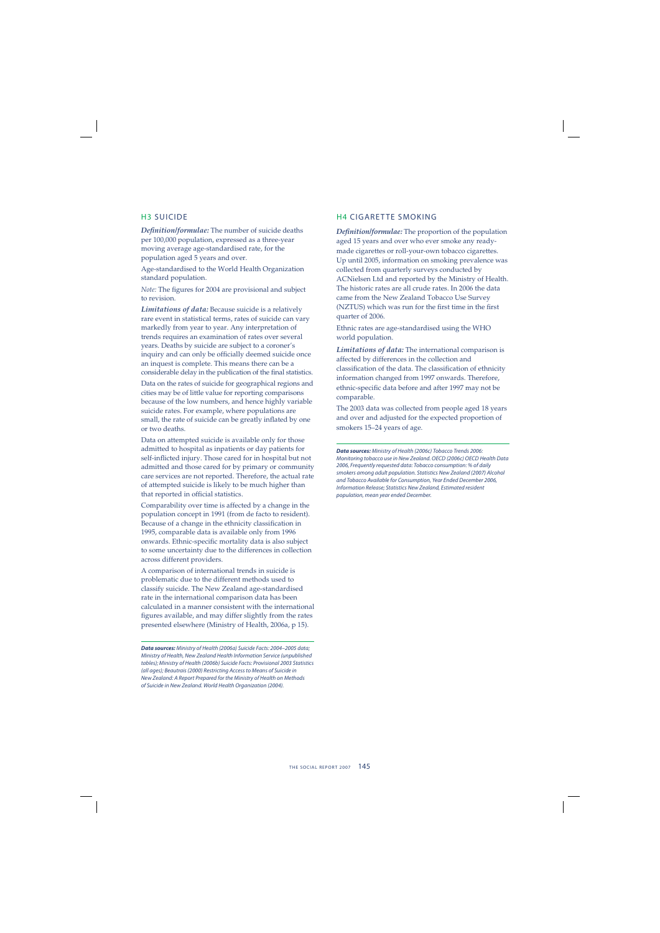#### H3 SUICIDE

**Definition/formulae:** The number of suicide deaths per 100,000 population, expressed as a three-year moving average age-standardised rate, for the population aged 5 years and over.

Age-standardised to the World Health Organization standard population.

*Note:* The figures for 2004 are provisional and subject to revision.

*Limitations of data:* Because suicide is a relatively rare event in statistical terms, rates of suicide can vary markedly from year to year. Any interpretation of trends requires an examination of rates over several years. Deaths by suicide are subject to a coroner's inquiry and can only be officially deemed suicide once an inquest is complete. This means there can be a considerable delay in the publication of the final statistics.

Data on the rates of suicide for geographical regions and cities may be of little value for reporting comparisons because of the low numbers, and hence highly variable suicide rates. For example, where populations are small, the rate of suicide can be greatly inflated by one or two deaths.

Data on attempted suicide is available only for those admitted to hospital as inpatients or day patients for self-inflicted injury. Those cared for in hospital but not admitted and those cared for by primary or community care services are not reported. Therefore, the actual rate of attempted suicide is likely to be much higher than that reported in official statistics.

Comparability over time is affected by a change in the population concept in 1991 (from de facto to resident). Because of a change in the ethnicity classification in 1995, comparable data is available only from 1996 onwards. Ethnic-specific mortality data is also subject to some uncertainty due to the differences in collection across different providers.

A comparison of international trends in suicide is problematic due to the different methods used to classify suicide. The New Zealand age-standardised rate in the international comparison data has been calculated in a manner consistent with the international figures available, and may differ slightly from the rates presented elsewhere (Ministry of Health, 2006a, p 15).

*Data sources:* Ministry of Health (2006a) Suicide Facts: 2004–2005 data; Ministry of Health, New Zealand Health Information Service (unpublished tables); Ministry of Health (2006b) Suicide Facts: Provisional 2003 Statistics (all ages); Beautrais (2000) Restricting Access to Means of Suicide in New Zealand: A Report Prepared for the Ministry of Health on Methods of Suicide in New Zealand. World Health Organization (2004).

#### H4 CIGARETTE SMOKING

*Definition/formulae:* The proportion of the population aged 15 years and over who ever smoke any readymade cigarettes or roll-your-own tobacco cigarettes. Up until 2005, information on smoking prevalence was collected from quarterly surveys conducted by ACNielsen Ltd and reported by the Ministry of Health. The historic rates are all crude rates. In 2006 the data came from the New Zealand Tobacco Use Survey (NZTUS) which was run for the first time in the first quarter of 2006.

Ethnic rates are age-standardised using the WHO world population.

*Limitations of data:* The international comparison is affected by differences in the collection and classification of the data. The classification of ethnicity information changed from 1997 onwards. Therefore, ethnic-specific data before and after 1997 may not be comparable.

The 2003 data was collected from people aged 18 years and over and adjusted for the expected proportion of smokers 15–24 years of age.

*Data sources:* Ministry of Health (2006c) Tobacco Trends 2006: Monitoring tobacco use in New Zealand. OECD (2006c) OECD Health Data 2006, Frequently requested data: Tobacco consumption: % of daily smokers among adult population. Statistics New Zealand (2007) Alcohol and Tobacco Available for Consumption, Year Ended December 2006, Information Release; Statistics New Zealand, Estimated resident population, mean year ended December.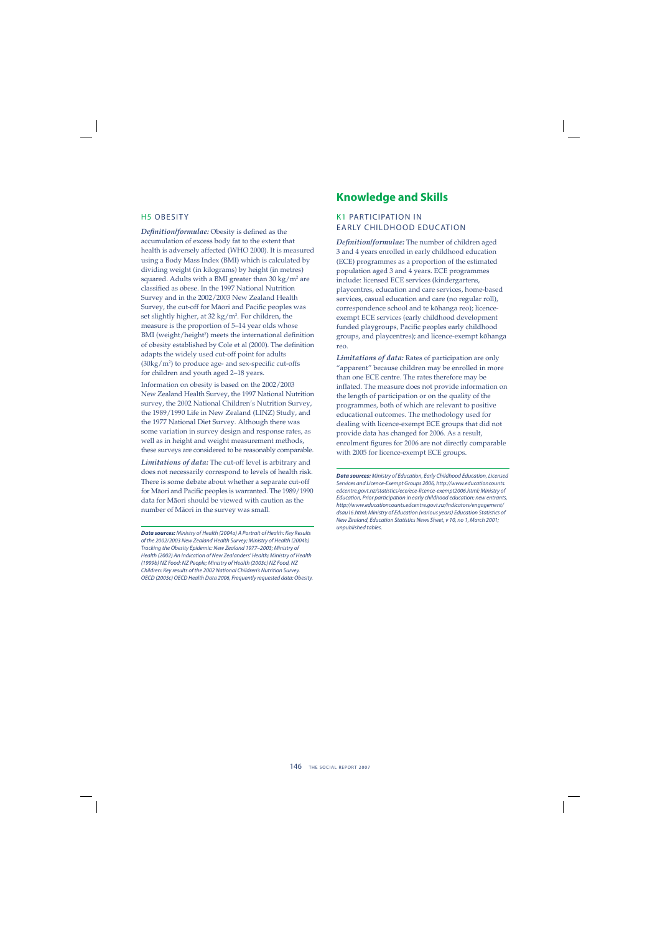#### H5 OBESITY

**Definition/formulae:** Obesity is defined as the accumulation of excess body fat to the extent that health is adversely affected (WHO 2000). It is measured using a Body Mass Index (BMI) which is calculated by dividing weight (in kilograms) by height (in metres) squared. Adults with a BMI greater than 30 kg/m² are classified as obese. In the 1997 National Nutrition Survey and in the 2002/2003 New Zealand Health Survey, the cut-off for Māori and Pacific peoples was set slightly higher, at 32 kg/m2 . For children, the measure is the proportion of 5–14 year olds whose BMI (weight/height<sup>2</sup>) meets the international definition of obesity established by Cole et al (2000). The definition adapts the widely used cut-off point for adults  $(30\text{kg}/\text{m}^2)$  to produce age- and sex-specific cut-offs for children and youth aged 2–18 years.

Information on obesity is based on the 2002/2003 New Zealand Health Survey, the 1997 National Nutrition survey, the 2002 National Children's Nutrition Survey, the 1989/1990 Life in New Zealand (LINZ) Study, and the 1977 National Diet Survey. Although there was some variation in survey design and response rates, as well as in height and weight measurement methods, these surveys are considered to be reasonably comparable.

*Limitations of data:* The cut-off level is arbitrary and does not necessarily correspond to levels of health risk. There is some debate about whether a separate cut-off for Māori and Pacific peoples is warranted. The 1989/1990 data for Mäori should be viewed with caution as the number of Mäori in the survey was small.

### **Knowledge and Skills**

#### K1 PARTICIPATION IN EARLY CHILDHOOD EDUCATION

*Defi nition/formulae:* The number of children aged 3 and 4 years enrolled in early childhood education (ECE) programmes as a proportion of the estimated population aged 3 and 4 years. ECE programmes include: licensed ECE services (kindergartens, playcentres, education and care services, home-based services, casual education and care (no regular roll), correspondence school and te köhanga reo); licenceexempt ECE services (early childhood development funded playgroups, Pacific peoples early childhood groups, and playcentres); and licence-exempt köhanga reo.

*Limitations of data:* Rates of participation are only "apparent" because children may be enrolled in more than one ECE centre. The rates therefore may be inflated. The measure does not provide information on the length of participation or on the quality of the programmes, both of which are relevant to positive educational outcomes. The methodology used for dealing with licence-exempt ECE groups that did not provide data has changed for 2006. As a result, enrolment figures for 2006 are not directly comparable with 2005 for licence-exempt ECE groups.

*Data sources:* Ministry of Education, Early Childhood Education, Licensed Services and Licence-Exempt Groups 2006, http://www.educationcounts. edcentre.govt.nz/statistics/ece/ece-licence-exempt2006.html; Ministry of Education, Prior participation in early childhood education: new entrants, http://www.educationcounts.edcentre.govt.nz/indicators/engagement/ dsau16.html; Ministry of Education (various years) Education Statistics of New Zealand, Education Statistics News Sheet, v 10, no 1, March 2001; unpublished tables.

*Data sources:* Ministry of Health (2004a) A Portrait of Health: Key Results of the 2002/2003 New Zealand Health Survey; Ministry of Health (2004b) Tracking the Obesity Epidemic: New Zealand 1977–2003; Ministry of Health (2002) An Indication of New Zealanders' Health; Ministry of Health (1999b) NZ Food: NZ People; Ministry of Health (2003c) NZ Food, NZ Children: Key results of the 2002 National Children's Nutrition Survey. OECD (2005c) OECD Health Data 2006, Frequently requested data: Obesity.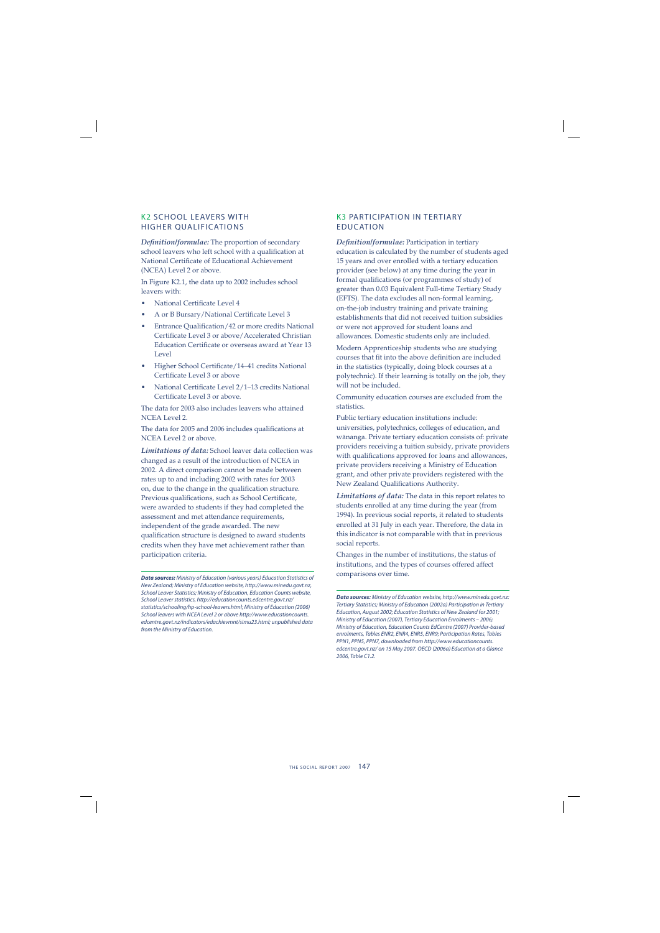#### K2 SCHOOL LEAVERS WITH HIGHER QUALIFICATIONS

*Definition/formulae:* The proportion of secondary school leavers who left school with a qualification at National Certificate of Educational Achievement (NCEA) Level 2 or above.

In Figure K2.1, the data up to 2002 includes school leavers with:

- National Certificate Level 4
- A or B Bursary/National Certificate Level 3
- Entrance Qualification/42 or more credits National Certificate Level 3 or above/Accelerated Christian Education Certificate or overseas award at Year 13 Level
- Higher School Certificate/14-41 credits National Certificate Level 3 or above
- National Certificate Level 2/1–13 credits National Certificate Level 3 or above.

The data for 2003 also includes leavers who attained NCEA Level 2.

The data for 2005 and 2006 includes qualifications at NCEA Level 2 or above.

*Limitations of data:* School leaver data collection was changed as a result of the introduction of NCEA in 2002. A direct comparison cannot be made between rates up to and including 2002 with rates for 2003 on, due to the change in the qualification structure. Previous qualifications, such as School Certificate, were awarded to students if they had completed the assessment and met attendance requirements, independent of the grade awarded. The new qualification structure is designed to award students credits when they have met achievement rather than participation criteria.

*Data sources:* Ministry of Education (various years) Education Statistics of New Zealand; Ministry of Education website, http://www.minedu.govt.nz, School Leaver Statistics; Ministry of Education, Education Counts website, School Leaver statistics, http://educationcounts.edcentre.govt.nz/ statistics/schooling/hp-school-leavers.html; Ministry of Education (2006) School leavers with NCEA Level 2 or above http://www.educationcounts. edcentre.govt.nz/indicators/edachievmnt/simu23.html; unpublished data from the Ministry of Education.

#### K3 PARTICIPATION IN TERTIARY EDUCATION

*Defi nition/formulae:* Participation in tertiary education is calculated by the number of students aged 15 years and over enrolled with a tertiary education provider (see below) at any time during the year in formal qualifications (or programmes of study) of greater than 0.03 Equivalent Full-time Tertiary Study (EFTS). The data excludes all non-formal learning, on-the-job industry training and private training establishments that did not received tuition subsidies or were not approved for student loans and allowances. Domestic students only are included.

Modern Apprenticeship students who are studying courses that fit into the above definition are included in the statistics (typically, doing block courses at a polytechnic). If their learning is totally on the job, they will not be included.

Community education courses are excluded from the statistics.

Public tertiary education institutions include: universities, polytechnics, colleges of education, and wänanga. Private tertiary education consists of: private providers receiving a tuition subsidy, private providers with qualifications approved for loans and allowances, private providers receiving a Ministry of Education grant, and other private providers registered with the New Zealand Qualifications Authority.

*Limitations of data:* The data in this report relates to students enrolled at any time during the year (from 1994). In previous social reports, it related to students enrolled at 31 July in each year. Therefore, the data in this indicator is not comparable with that in previous social reports.

Changes in the number of institutions, the status of institutions, and the types of courses offered affect comparisons over time.

*Data sources:* Ministry of Education website, http://www.minedu.govt.nz: Tertiary Statistics; Ministry of Education (2002a) Participation in Tertiary Education, August 2002; Education Statistics of New Zealand for 2001; Ministry of Education (2007), Tertiary Education Enrolments – 2006; Ministry of Education, Education Counts EdCentre (2007) Provider-based enrolments, Tables ENR2, ENR4, ENR5, ENR9; Participation Rates, Tables PPN1, PPN5, PPN7, downloaded from http://www.educationcounts. edcentre.govt.nz/ on 15 May 2007. OECD (2006a) Education at a Glance 2006, Table C1.2.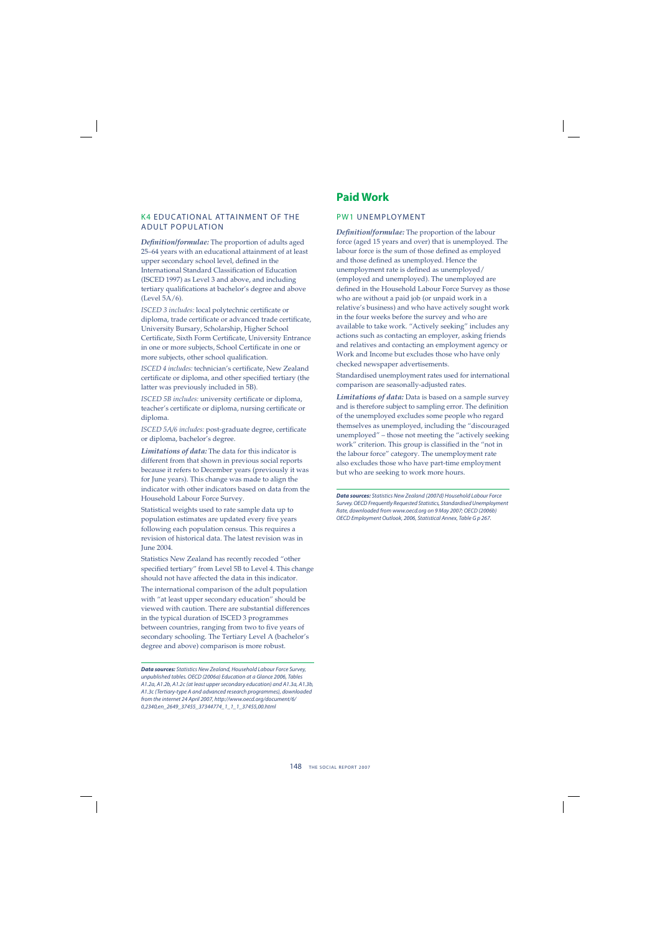#### K4 EDUCATIONAL ATTAINMENT OF THE ADULT POPULATION

*Definition/formulae:* The proportion of adults aged 25–64 years with an educational attainment of at least upper secondary school level, defined in the International Standard Classification of Education (ISCED 1997) as Level 3 and above, and including tertiary qualifications at bachelor's degree and above (Level 5A/6).

*ISCED 3 includes:* local polytechnic certificate or diploma, trade certificate or advanced trade certificate, University Bursary, Scholarship, Higher School Certificate, Sixth Form Certificate, University Entrance in one or more subjects, School Certificate in one or more subjects, other school qualification.

*ISCED 4 includes: technician's certificate, New Zealand* certificate or diploma, and other specified tertiary (the latter was previously included in 5B).

*ISCED 5B includes:* university certificate or diploma, teacher's certificate or diploma, nursing certificate or diploma.

*ISCED 5A/6 includes: post-graduate degree, certificate* or diploma, bachelor's degree.

*Limitations of data:* The data for this indicator is different from that shown in previous social reports because it refers to December years (previously it was for June years). This change was made to align the indicator with other indicators based on data from the Household Labour Force Survey.

Statistical weights used to rate sample data up to population estimates are updated every five years following each population census. This requires a revision of historical data. The latest revision was in June 2004.

Statistics New Zealand has recently recoded "other specified tertiary" from Level 5B to Level 4. This change should not have affected the data in this indicator.

The international comparison of the adult population with "at least upper secondary education" should be viewed with caution. There are substantial differences in the typical duration of ISCED 3 programmes between countries, ranging from two to five years of secondary schooling. The Tertiary Level A (bachelor's degree and above) comparison is more robust.

## **Paid Work**

#### PW1 UNEMPLOYMENT

Definition/formulae: The proportion of the labour force (aged 15 years and over) that is unemployed. The labour force is the sum of those defined as employed and those defined as unemployed. Hence the unemployment rate is defined as unemployed/ (employed and unemployed). The unemployed are defined in the Household Labour Force Survey as those who are without a paid job (or unpaid work in a relative's business) and who have actively sought work in the four weeks before the survey and who are available to take work. "Actively seeking" includes any actions such as contacting an employer, asking friends and relatives and contacting an employment agency or Work and Income but excludes those who have only checked newspaper advertisements.

Standardised unemployment rates used for international comparison are seasonally-adjusted rates.

*Limitations of data:* Data is based on a sample survey and is therefore subject to sampling error. The definition of the unemployed excludes some people who regard themselves as unemployed, including the "discouraged unemployed" – those not meeting the "actively seeking work" criterion. This group is classified in the "not in the labour force" category. The unemployment rate also excludes those who have part-time employment but who are seeking to work more hours.

*Data sources:* Statistics New Zealand (2007d) Household Labour Force Survey. OECD Frequently Requested Statistics, Standardised Unemployment Rate, downloaded from www.oecd.org on 9 May 2007; OECD (2006b) OECD Employment Outlook, 2006, Statistical Annex, Table G p 267.

*Data sources:* Statistics New Zealand, Household Labour Force Survey, unpublished tables. OECD (2006a) Education at a Glance 2006, Tables A1.2a, A1.2b, A1.2c (at least upper secondary education) and A1.3a, A1.3b, A1.3c (Tertiary-type A and advanced research programmes), downloaded from the internet 24 April 2007, http://www.oecd.org/document/6/ 0,2340,en\_2649\_37455\_37344774\_1\_1\_1\_37455,00.html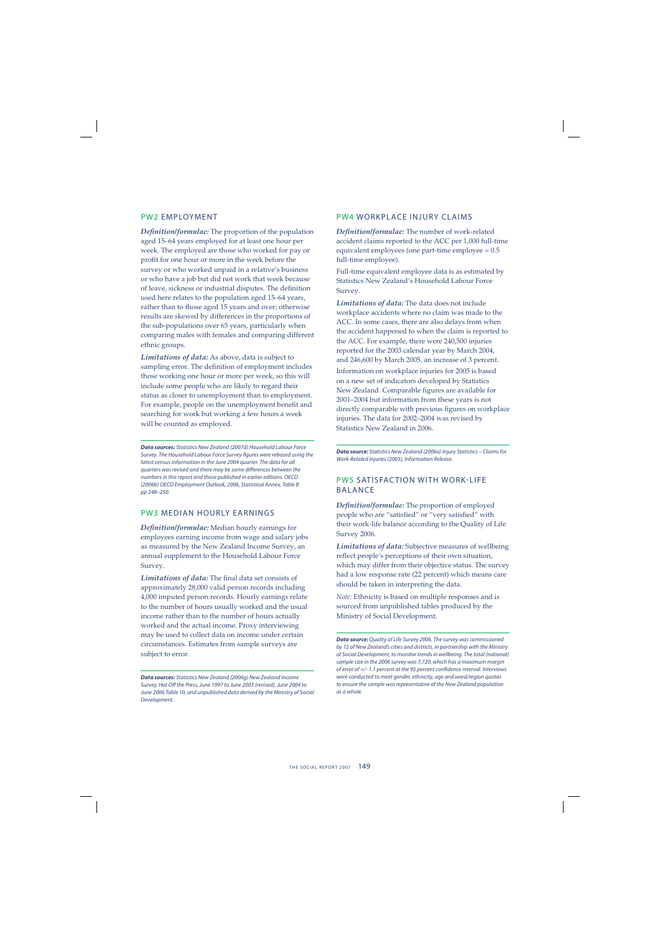#### PW2 EMPLOYMENT

*Definition/formulae:* The proportion of the population aged 15–64 years employed for at least one hour per week. The employed are those who worked for pay or profit for one hour or more in the week before the survey or who worked unpaid in a relative's business or who have a job but did not work that week because of leave, sickness or industrial disputes. The definition used here relates to the population aged 15–64 years, rather than to those aged 15 years and over; otherwise results are skewed by differences in the proportions of the sub-populations over 65 years, particularly when comparing males with females and comparing different ethnic groups.

*Limitations of data:* As above, data is subject to sampling error. The definition of employment includes those working one hour or more per week, so this will include some people who are likely to regard their status as closer to unemployment than to employment. For example, people on the unemployment benefit and searching for work but working a few hours a week will be counted as employed.

*Data sources:* Statistics New Zealand (2007d) Household Labour Force Survey. The Household Labour Force Survey figures were rebased using the latest census information in the June 2004 quarter. The data for all quarters was revised and there may be some differences between the numbers in this report and those published in earlier editions. OECD (2006b) OECD Employment Outlook, 2006, Statistical Annex, Table B pp 248–250.

#### PW3 MEDIAN HOURLY EARNINGS

*Defi nition/formulae:* Median hourly earnings for employees earning income from wage and salary jobs as measured by the New Zealand Income Survey, an annual supplement to the Household Labour Force Survey.

Limitations of data: The final data set consists of approximately 28,000 valid person records including 4,000 imputed person records. Hourly earnings relate to the number of hours usually worked and the usual income rather than to the number of hours actually worked and the actual income. Proxy interviewing may be used to collect data on income under certain circumstances. Estimates from sample surveys are subject to error.

#### PW4 WORKPLACE INJURY CLAIMS

Definition/formulae: The number of work-related accident claims reported to the ACC per 1,000 full-time equivalent employees (one part-time employee = 0.5 full-time employee).

Full-time equivalent employee data is as estimated by Statistics New Zealand's Household Labour Force Survey.

*Limitations of data:* The data does not include workplace accidents where no claim was made to the ACC. In some cases, there are also delays from when the accident happened to when the claim is reported to the ACC. For example, there were 240,500 injuries reported for the 2003 calendar year by March 2004, and 246,600 by March 2005, an increase of 3 percent.

Information on workplace injuries for 2005 is based on a new set of indicators developed by Statistics New Zealand. Comparable figures are available for 2001–2004 but information from these years is not directly comparable with previous figures on workplace injuries. The data for 2002–2004 was revised by Statistics New Zealand in 2006.

*Data source:* Statistics New Zealand (2006a) Injury Statistics – Claims for Work-Related Injuries (2005), Information Release.

#### PW5 SATISFACTION WITH WORK-LIFF BALANCE

*Definition/formulae:* The proportion of employed people who are "satisfied" or "very satisfied" with their work-life balance according to the Quality of Life Survey 2006.

*Limitations of data:* Subjective measures of wellbeing reflect people's perceptions of their own situation, which may differ from their objective status. The survey had a low response rate (22 percent) which means care should be taken in interpreting the data.

*Note:* Ethnicity is based on multiple responses and is sourced from unpublished tables produced by the Ministry of Social Development.

*Data sources:* Statistics New Zealand (2006g) New Zealand Income Survey, Hot Off the Press, June 1997 to June 2003 (revised), June 2004 to June 2006 Table 10, and unpublished data derived by the Ministry of Social Development.

*Data source:* Quality of Life Survey 2006. The survey was commissioned by 12 of New Zealand's cities and districts, in partnership with the Ministry of Social Development, to monitor trends in wellbeing. The total (national) sample size in the 2006 survey was 7,720, which has a maximum margin of error of +/- 1.1 percent at the 95 percent confidence interval. Interviews were conducted to meet gender, ethnicity, age and ward/region quotas to ensure the sample was representative of the New Zealand population as a whole.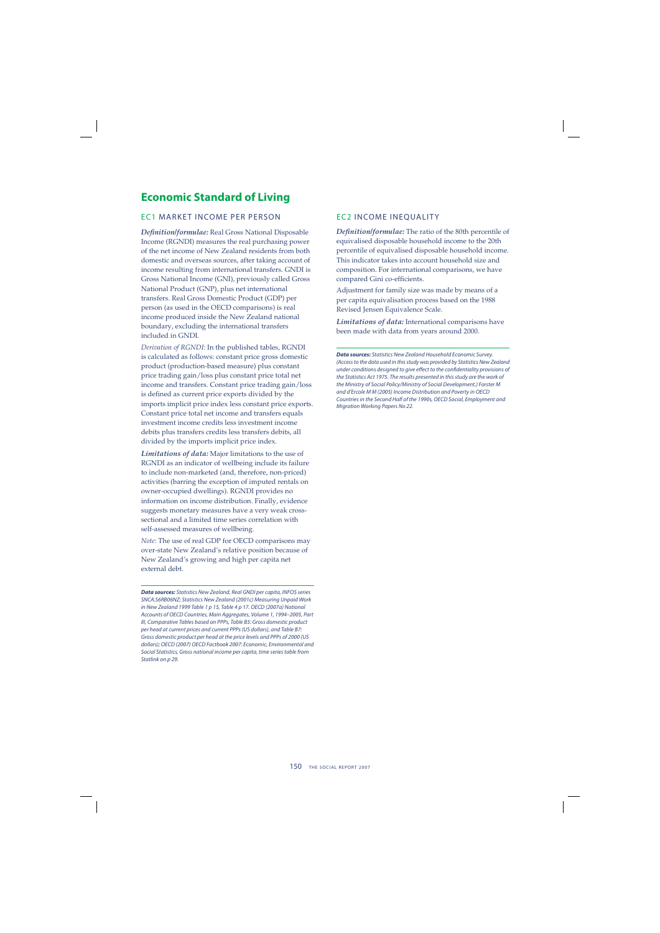# **Economic Standard of Living**

#### EC1 MARKET INCOME PER PERSON

*Defi nition/formulae:* Real Gross National Disposable Income (RGNDI) measures the real purchasing power of the net income of New Zealand residents from both domestic and overseas sources, after taking account of income resulting from international transfers. GNDI is Gross National Income (GNI), previously called Gross National Product (GNP), plus net international transfers. Real Gross Domestic Product (GDP) per person (as used in the OECD comparisons) is real income produced inside the New Zealand national boundary, excluding the international transfers included in GNDI.

*Derivation of RGNDI:* In the published tables, RGNDI is calculated as follows: constant price gross domestic product (production-based measure) plus constant price trading gain/loss plus constant price total net income and transfers. Constant price trading gain/loss is defined as current price exports divided by the imports implicit price index less constant price exports. Constant price total net income and transfers equals investment income credits less investment income debits plus transfers credits less transfers debits, all divided by the imports implicit price index.

*Limitations of data:* Major limitations to the use of RGNDI as an indicator of wellbeing include its failure to include non-marketed (and, therefore, non-priced) activities (barring the exception of imputed rentals on owner-occupied dwellings). RGNDI provides no information on income distribution. Finally, evidence suggests monetary measures have a very weak crosssectional and a limited time series correlation with self-assessed measures of wellbeing.

*Note:* The use of real GDP for OECD comparisons may over-state New Zealand's relative position because of New Zealand's growing and high per capita net external debt.

*Data sources:* Statistics New Zealand, Real GNDI per capita, INFOS series SNCA.S6RB06NZ; Statistics New Zealand (2001c) Measuring Unpaid Work in New Zealand 1999 Table 1 p 15, Table 4 p 17. OECD (2007a) National Accounts of OECD Countries, Main Aggregates, Volume 1, 1994–2005, Part III, Comparative Tables based on PPPs, Table B5: Gross domestic product per head at current prices and current PPPs (US dollars), and Table B7: Gross domestic product per head at the price levels and PPPs of 2000 (US dollars); OECD (2007) OECD Factbook 2007: Economic, Environmental and Social Statistics, Gross national income per capita, time series table from Statlink on p 29.

#### EC2 INCOME INEQUALITY

*Defi nition/formulae:* The ratio of the 80th percentile of equivalised disposable household income to the 20th percentile of equivalised disposable household income. This indicator takes into account household size and composition. For international comparisons, we have compared Gini co-efficients.

Adjustment for family size was made by means of a per capita equivalisation process based on the 1988 Revised Jensen Equivalence Scale.

*Limitations of data:* International comparisons have been made with data from years around 2000.

*Data sources:* Statistics New Zealand Household Economic Survey. (Access to the data used in this study was provided by Statistics New Zealand under conditions designed to give effect to the confidentiality provisions of the Statistics Act 1975. The results presented in this study are the work of the Ministry of Social Policy/Ministry of Social Development.) Forster M and d'Ercole M M (2005) Income Distribution and Poverty in OECD Countries in the Second Half of the 1990s, OECD Social, Employment and Migration Working Papers No 22.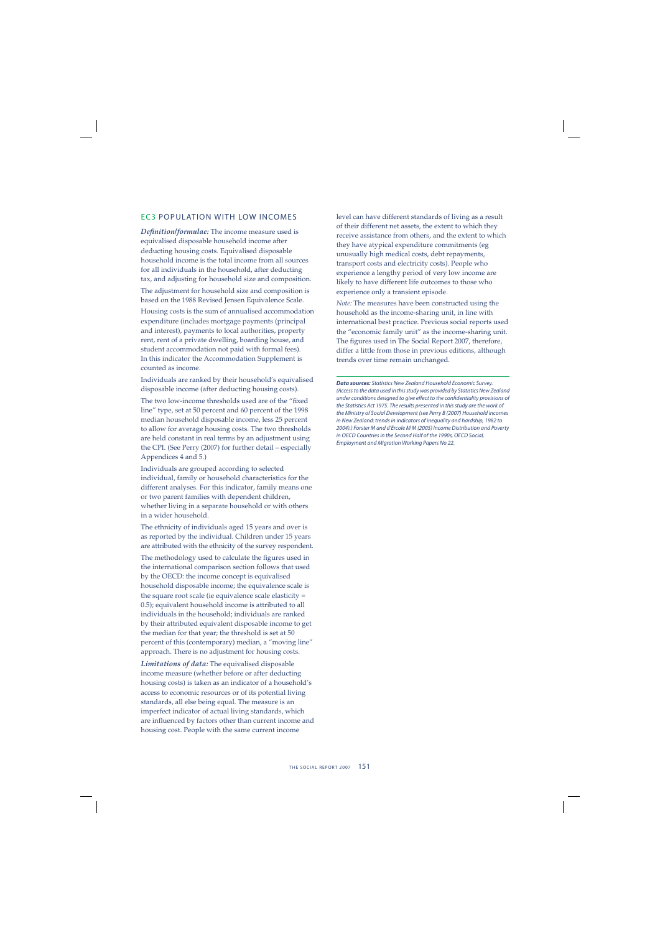#### EC3 POPULATION WITH LOW INCOMES

*Defi nition/formulae:* The income measure used is equivalised disposable household income after deducting housing costs. Equivalised disposable household income is the total income from all sources for all individuals in the household, after deducting tax, and adjusting for household size and composition.

The adjustment for household size and composition is based on the 1988 Revised Jensen Equivalence Scale.

Housing costs is the sum of annualised accommodation expenditure (includes mortgage payments (principal and interest), payments to local authorities, property rent, rent of a private dwelling, boarding house, and student accommodation not paid with formal fees). In this indicator the Accommodation Supplement is counted as income.

Individuals are ranked by their household's equivalised disposable income (after deducting housing costs).

The two low-income thresholds used are of the "fixed line" type, set at 50 percent and 60 percent of the 1998 median household disposable income, less 25 percent to allow for average housing costs. The two thresholds are held constant in real terms by an adjustment using the CPI. (See Perry (2007) for further detail – especially Appendices 4 and 5.)

Individuals are grouped according to selected individual, family or household characteristics for the different analyses. For this indicator, family means one or two parent families with dependent children, whether living in a separate household or with others in a wider household.

The ethnicity of individuals aged 15 years and over is as reported by the individual. Children under 15 years are attributed with the ethnicity of the survey respondent. The methodology used to calculate the figures used in the international comparison section follows that used by the OECD: the income concept is equivalised household disposable income; the equivalence scale is the square root scale (ie equivalence scale elasticity = 0.5); equivalent household income is attributed to all individuals in the household; individuals are ranked by their attributed equivalent disposable income to get the median for that year; the threshold is set at 50 percent of this (contemporary) median, a "moving line" approach. There is no adjustment for housing costs.

*Limitations of data:* The equivalised disposable income measure (whether before or after deducting housing costs) is taken as an indicator of a household's access to economic resources or of its potential living standards, all else being equal. The measure is an imperfect indicator of actual living standards, which are influenced by factors other than current income and housing cost. People with the same current income

level can have different standards of living as a result of their different net assets, the extent to which they receive assistance from others, and the extent to which they have atypical expenditure commitments (eg unusually high medical costs, debt repayments, transport costs and electricity costs). People who experience a lengthy period of very low income are likely to have different life outcomes to those who experience only a transient episode.

*Note:* The measures have been constructed using the household as the income-sharing unit, in line with international best practice. Previous social reports used the "economic family unit" as the income-sharing unit. The figures used in The Social Report 2007, therefore, differ a little from those in previous editions, although trends over time remain unchanged.

*Data sources:* Statistics New Zealand Household Economic Survey. (Access to the data used in this study was provided by Statistics New Zealand under conditions designed to give effect to the confidentiality provisions of the Statistics Act 1975. The results presented in this study are the work of the Ministry of Social Development (see Perry B (2007) Household incomes in New Zealand: trends in indicators of inequality and hardship, 1982 to 2004).) Forster M and d'Ercole M M (2005) Income Distribution and Poverty in OECD Countries in the Second Half of the 1990s, OECD Social, Employment and Migration Working Papers No 22.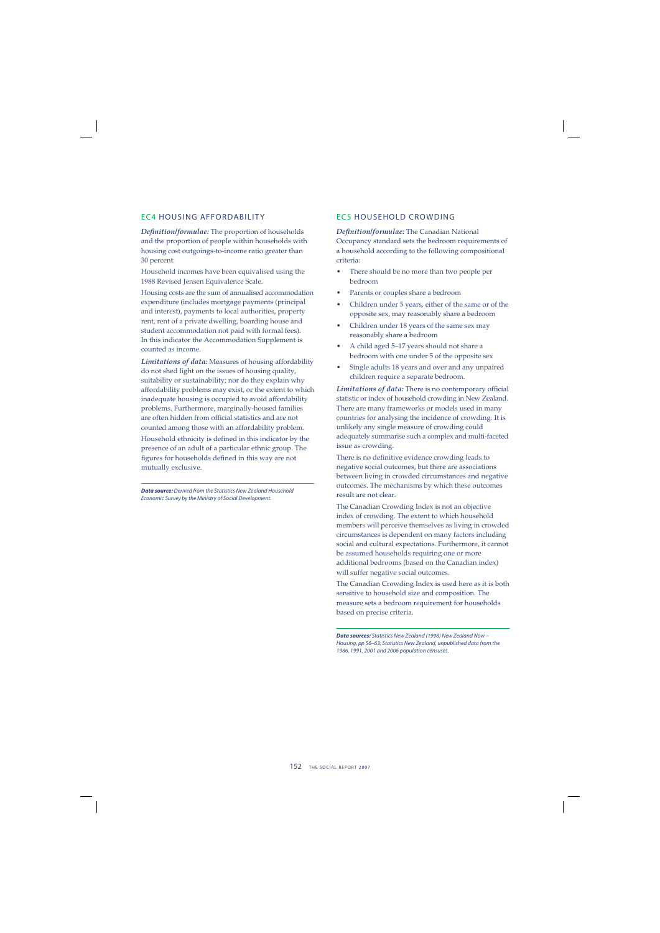#### EC4 HOUSING AFFORDABILITY

**Definition/formulae:** The proportion of households and the proportion of people within households with housing cost outgoings-to-income ratio greater than 30 percent.

Household incomes have been equivalised using the 1988 Revised Jensen Equivalence Scale.

Housing costs are the sum of annualised accommodation expenditure (includes mortgage payments (principal and interest), payments to local authorities, property rent, rent of a private dwelling, boarding house and student accommodation not paid with formal fees). In this indicator the Accommodation Supplement is counted as income.

*Limitations of data:* Measures of housing affordability do not shed light on the issues of housing quality, suitability or sustainability; nor do they explain why affordability problems may exist, or the extent to which inadequate housing is occupied to avoid affordability problems. Furthermore, marginally-housed families are often hidden from official statistics and are not counted among those with an affordability problem.

Household ethnicity is defined in this indicator by the presence of an adult of a particular ethnic group. The figures for households defined in this way are not mutually exclusive.

*Data source:* Derived from the Statistics New Zealand Household Economic Survey by the Ministry of Social Development.

#### EC5 HOUSEHOLD CROWDING

*Defi nition/formulae:* The Canadian National Occupancy standard sets the bedroom requirements of a household according to the following compositional criteria:

- There should be no more than two people per bedroom
- Parents or couples share a bedroom
- Children under 5 years, either of the same or of the opposite sex, may reasonably share a bedroom
- Children under 18 years of the same sex may reasonably share a bedroom
- A child aged 5–17 years should not share a bedroom with one under 5 of the opposite sex
- Single adults 18 years and over and any unpaired children require a separate bedroom.

Limitations of data: There is no contemporary official statistic or index of household crowding in New Zealand. There are many frameworks or models used in many countries for analysing the incidence of crowding. It is unlikely any single measure of crowding could adequately summarise such a complex and multi-faceted issue as crowding.

There is no definitive evidence crowding leads to negative social outcomes, but there are associations between living in crowded circumstances and negative outcomes. The mechanisms by which these outcomes result are not clear.

The Canadian Crowding Index is not an objective index of crowding. The extent to which household members will perceive themselves as living in crowded circumstances is dependent on many factors including social and cultural expectations. Furthermore, it cannot be assumed households requiring one or more additional bedrooms (based on the Canadian index) will suffer negative social outcomes.

The Canadian Crowding Index is used here as it is both sensitive to household size and composition. The measure sets a bedroom requirement for households based on precise criteria.

*Data sources:* Statistics New Zealand (1998) New Zealand Now – Housing, pp 56–63; Statistics New Zealand, unpublished data from the 1986, 1991, 2001 and 2006 population censuses.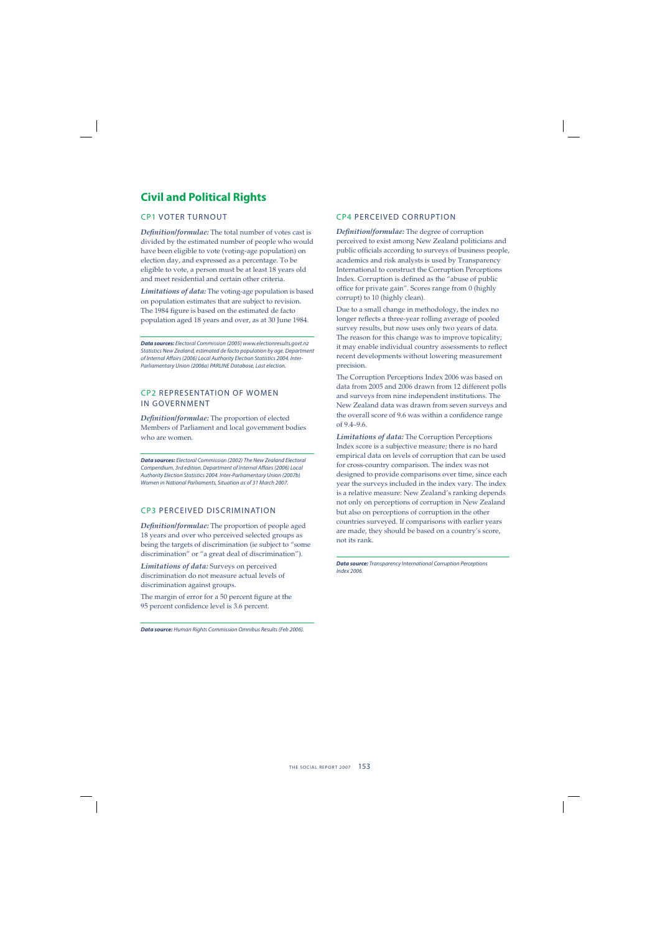# **Civil and Political Rights**

#### CP1 VOTER TURNOUT

**Definition/formulae:** The total number of votes cast is divided by the estimated number of people who would have been eligible to vote (voting-age population) on election day, and expressed as a percentage. To be eligible to vote, a person must be at least 18 years old and meet residential and certain other criteria.

*Limitations of data:* The voting-age population is based on population estimates that are subject to revision. The 1984 figure is based on the estimated de facto population aged 18 years and over, as at 30 June 1984.

*Data sources:* Electoral Commission (2005) www.electionresults.govt.nz Statistics New Zealand, estimated de facto population by age. Department of Internal Affairs (2006) Local Authority Election Statistics 2004. Inter-Parliamentary Union (2006a) PARLINE Database, Last election.

#### CP2 REPRESENTATION OF WOMEN IN GOVERNMENT

*Defi nition/formulae:* The proportion of elected Members of Parliament and local government bodies who are women.

*Data sources:* Electoral Commission (2002) The New Zealand Electoral Compendium, 3rd edition. Department of Internal Affairs (2006) Local Authority Election Statistics 2004. Inter-Parliamentary Union (2007b) Women in National Parliaments, Situation as of 31 March 2007.

#### CP3 PERCEIVED DISCRIMINATION

Definition/formulae: The proportion of people aged 18 years and over who perceived selected groups as being the targets of discrimination (ie subject to "some discrimination" or "a great deal of discrimination").

*Limitations of data:* Surveys on perceived discrimination do not measure actual levels of discrimination against groups.

The margin of error for a 50 percent figure at the 95 percent confidence level is 3.6 percent.

*Data source:* Human Rights Commission Omnibus Results (Feb 2006).

#### CP4 PERCEIVED CORRUPTION

*Defi nition/formulae:* The degree of corruption perceived to exist among New Zealand politicians and public officials according to surveys of business people, academics and risk analysts is used by Transparency International to construct the Corruption Perceptions Index. Corruption is defined as the "abuse of public office for private gain". Scores range from 0 (highly corrupt) to 10 (highly clean).

Due to a small change in methodology, the index no longer reflects a three-year rolling average of pooled survey results, but now uses only two years of data. The reason for this change was to improve topicality; it may enable individual country assessments to reflect recent developments without lowering measurement precision.

The Corruption Perceptions Index 2006 was based on data from 2005 and 2006 drawn from 12 different polls and surveys from nine independent institutions. The New Zealand data was drawn from seven surveys and the overall score of 9.6 was within a confidence range of 9.4–9.6.

*Limitations of data:* The Corruption Perceptions Index score is a subjective measure; there is no hard empirical data on levels of corruption that can be used for cross-country comparison. The index was not designed to provide comparisons over time, since each year the surveys included in the index vary. The index is a relative measure: New Zealand's ranking depends not only on perceptions of corruption in New Zealand but also on perceptions of corruption in the other countries surveyed. If comparisons with earlier years are made, they should be based on a country's score, not its rank.

*Data source:* Transparency International Corruption Perceptions Index 2006.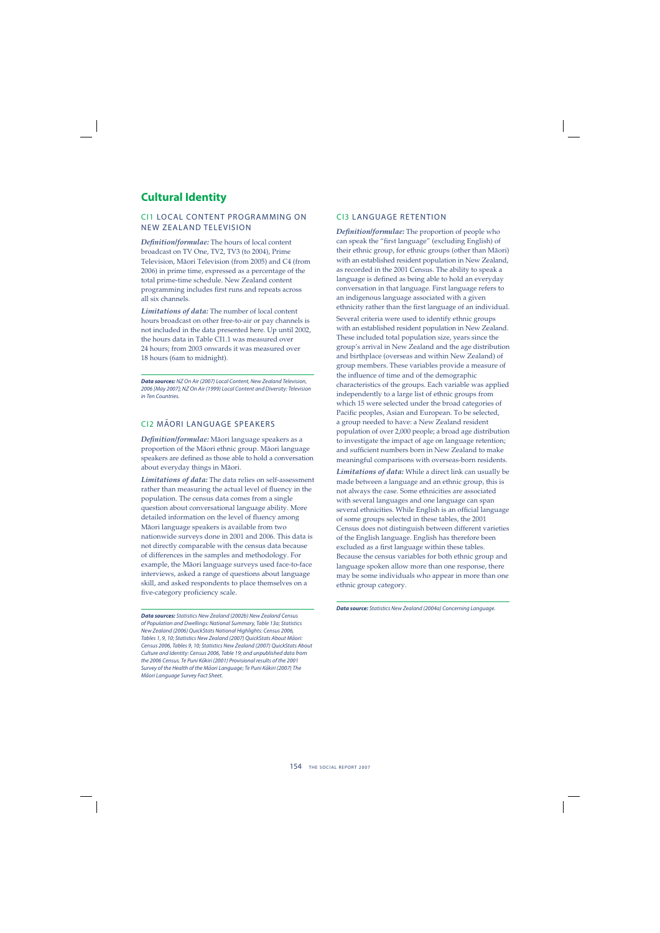# **Cultural Identity**

#### CI1 LOCAL CONTENT PROGRAMMING ON NEW ZEALAND TELEVISION

*Defi nition/formulae:* The hours of local content broadcast on TV One, TV2, TV3 (to 2004), Prime Television, Mäori Television (from 2005) and C4 (from 2006) in prime time, expressed as a percentage of the total prime-time schedule. New Zealand content programming includes first runs and repeats across all six channels.

*Limitations of data:* The number of local content hours broadcast on other free-to-air or pay channels is not included in the data presented here. Up until 2002, the hours data in Table CI1.1 was measured over 24 hours; from 2003 onwards it was measured over 18 hours (6am to midnight).

*Data sources:* NZ On Air (2007) Local Content, New Zealand Television, 2006 [May 2007]; NZ On Air (1999) Local Content and Diversity: Television in Ten Countries.

## CI2 MĀORI LANGUAGE SPEAKERS

*Defi nition/formulae:* Mäori language speakers as a proportion of the Mäori ethnic group. Mäori language speakers are defined as those able to hold a conversation about everyday things in Mäori.

*Limitations of data:* The data relies on self-assessment rather than measuring the actual level of fluency in the population. The census data comes from a single question about conversational language ability. More detailed information on the level of fluency among Mäori language speakers is available from two nationwide surveys done in 2001 and 2006. This data is not directly comparable with the census data because of differences in the samples and methodology. For example, the Mäori language surveys used face-to-face interviews, asked a range of questions about language skill, and asked respondents to place themselves on a five-category proficiency scale.

*Data sources:* Statistics New Zealand (2002b) New Zealand Census of Population and Dwellings: National Summary, Table 13a; Statistics New Zealand (2006) QuickStats National Highlights: Census 2006, Tables 1, 9, 10; Statistics New Zealand (2007) QuickStats About Māori: Census 2006, Tables 9, 10; Statistics New Zealand (2007) QuickStats About Culture and Identity: Census 2006, Table 19; and unpublished data from the 2006 Census. Te Puni Kōkiri (2001) Provisional results of the 2001 Survey of the Health of the Māori Language; Te Puni Kōkiri (2007) The .<br>Māori Language Survey Fact Sheet.

#### CI3 LANGUAGE RETENTION

*Definition/formulae:* The proportion of people who can speak the "first language" (excluding English) of their ethnic group, for ethnic groups (other than Mäori) with an established resident population in New Zealand, as recorded in the 2001 Census. The ability to speak a language is defined as being able to hold an everyday conversation in that language. First language refers to an indigenous language associated with a given ethnicity rather than the first language of an individual. Several criteria were used to identify ethnic groups with an established resident population in New Zealand. These included total population size, years since the group's arrival in New Zealand and the age distribution and birthplace (overseas and within New Zealand) of group members. These variables provide a measure of the influence of time and of the demographic characteristics of the groups. Each variable was applied independently to a large list of ethnic groups from which 15 were selected under the broad categories of Pacific peoples, Asian and European. To be selected, a group needed to have: a New Zealand resident population of over 2,000 people; a broad age distribution to investigate the impact of age on language retention; and sufficient numbers born in New Zealand to make meaningful comparisons with overseas-born residents.

*Limitations of data:* While a direct link can usually be made between a language and an ethnic group, this is not always the case. Some ethnicities are associated with several languages and one language can span several ethnicities. While English is an official language of some groups selected in these tables, the 2001 Census does not distinguish between different varieties of the English language. English has therefore been excluded as a first language within these tables. Because the census variables for both ethnic group and language spoken allow more than one response, there may be some individuals who appear in more than one ethnic group category.

*Data source:* Statistics New Zealand (2004a) Concerning Language.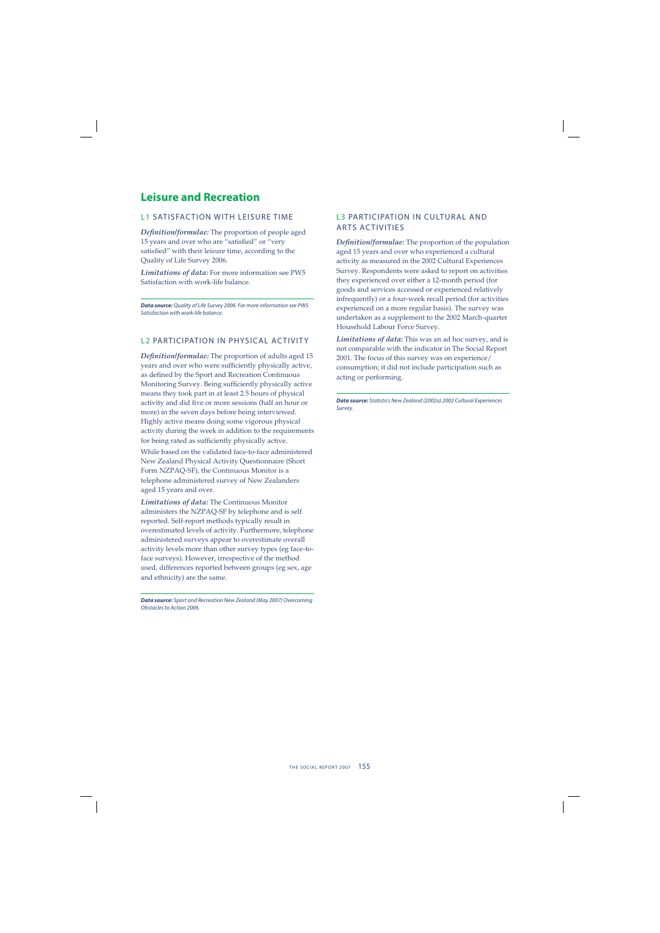## **Leisure and Recreation**

#### L1 SATISFACTION WITH LEISURE TIME

**Definition/formulae:** The proportion of people aged 15 years and over who are "satisfied" or "very satisfied" with their leisure time, according to the Quality of Life Survey 2006.

*Limitations of data:* For more information see PW5 Satisfaction with work-life balance.

*Data source:* Quality of Life Survey 2006. For more information see PW5 Satisfaction with work-life balance.

#### L2 PARTICIPATION IN PHYSICAL ACTIVITY

**Definition/formulae:** The proportion of adults aged 15 years and over who were sufficiently physically active, as defined by the Sport and Recreation Continuous Monitoring Survey. Being sufficiently physically active means they took part in at least 2.5 hours of physical activity and did five or more sessions (half an hour or more) in the seven days before being interviewed. Highly active means doing some vigorous physical activity during the week in addition to the requirements for being rated as sufficiently physically active.

While based on the validated face-to-face administered New Zealand Physical Activity Questionnaire (Short Form NZPAQ-SF), the Continuous Monitor is a telephone administered survey of New Zealanders aged 15 years and over.

*Limitations of data:* The Continuous Monitor administers the NZPAQ-SF by telephone and is self reported. Self-report methods typically result in overestimated levels of activity. Furthermore, telephone administered surveys appear to overestimate overall activity levels more than other survey types (eg face-toface surveys). However, irrespective of the method used, differences reported between groups (eg sex, age and ethnicity) are the same.

*Data source:* Sport and Recreation New Zealand (May 2007) Overcoming Obstacles to Action 2006.

#### L3 PARTICIPATION IN CULTURAL AND ARTS ACTIVITIES

*Definition/formulae:* The proportion of the population aged 15 years and over who experienced a cultural activity as measured in the 2002 Cultural Experiences Survey. Respondents were asked to report on activities they experienced over either a 12-month period (for goods and services accessed or experienced relatively infrequently) or a four-week recall period (for activities experienced on a more regular basis). The survey was undertaken as a supplement to the 2002 March-quarter Household Labour Force Survey.

*Limitations of data:* This was an ad hoc survey, and is not comparable with the indicator in The Social Report 2001. The focus of this survey was on experience/ consumption; it did not include participation such as acting or performing.

*Data source:* Statistics New Zealand (2002a) 2002 Cultural Experiences Survey.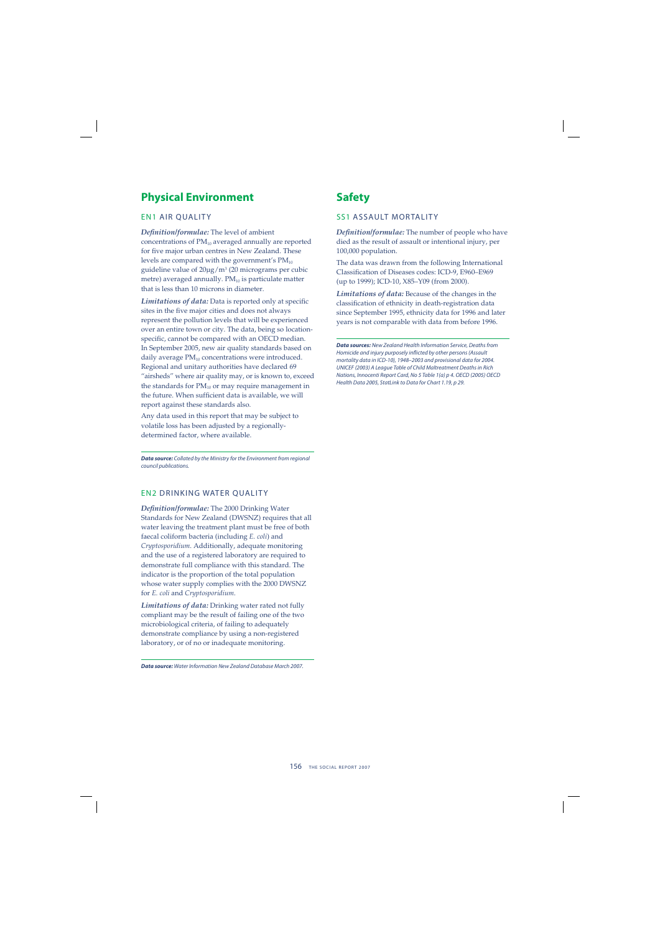# **Physical Environment**

#### EN1 AIR QUALITY

*Defi nition/formulae:* The level of ambient concentrations of  $PM_{10}$  averaged annually are reported for five major urban centres in New Zealand. These levels are compared with the government's  $PM_{10}$ guideline value of 20μg/m<sup>3</sup> (20 micrograms per cubic metre) averaged annually.  $PM_{10}$  is particulate matter that is less than 10 microns in diameter.

Limitations of data: Data is reported only at specific sites in the five major cities and does not always represent the pollution levels that will be experienced over an entire town or city. The data, being so locationspecific, cannot be compared with an OECD median. In September 2005, new air quality standards based on daily average  $PM_{10}$  concentrations were introduced. Regional and unitary authorities have declared 69 "airsheds" where air quality may, or is known to, exceed the standards for  $PM_{10}$  or may require management in the future. When sufficient data is available, we will report against these standards also.

Any data used in this report that may be subject to volatile loss has been adjusted by a regionallydetermined factor, where available.

*Data source:* Collated by the Ministry for the Environment from regional council publications.

#### EN2 DRINKING WATER QUALITY

*Defi nition/formulae:* The 2000 Drinking Water Standards for New Zealand (DWSNZ) requires that all water leaving the treatment plant must be free of both faecal coliform bacteria (including *E. coli*) and *Cryptosporidium*. Additionally, adequate monitoring and the use of a registered laboratory are required to demonstrate full compliance with this standard. The indicator is the proportion of the total population whose water supply complies with the 2000 DWSNZ for *E. coli* and *Cryptosporidium*.

*Limitations of data:* Drinking water rated not fully compliant may be the result of failing one of the two microbiological criteria, of failing to adequately demonstrate compliance by using a non-registered laboratory, or of no or inadequate monitoring.

*Data source:* Water Information New Zealand Database March 2007.

## **Safety**

#### **SS1 ASSAULT MORTALITY**

*Definition/formulae:* The number of people who have died as the result of assault or intentional injury, per 100,000 population.

The data was drawn from the following International Classification of Diseases codes: ICD-9, E960–E969 (up to 1999); ICD-10, X85–Y09 (from 2000).

*Limitations of data:* Because of the changes in the classification of ethnicity in death-registration data since September 1995, ethnicity data for 1996 and later years is not comparable with data from before 1996.

*Data sources:* New Zealand Health Information Service, Deaths from Homicide and injury purposely inflicted by other persons (Assault mortality data in ICD-10), 1948–2003 and provisional data for 2004. UNICEF (2003) A League Table of Child Maltreatment Deaths in Rich Nations, Innocenti Report Card, No 5 Table 1(a) p 4. OECD (2005) OECD Health Data 2005, StatLink to Data for Chart 1.19, p 29.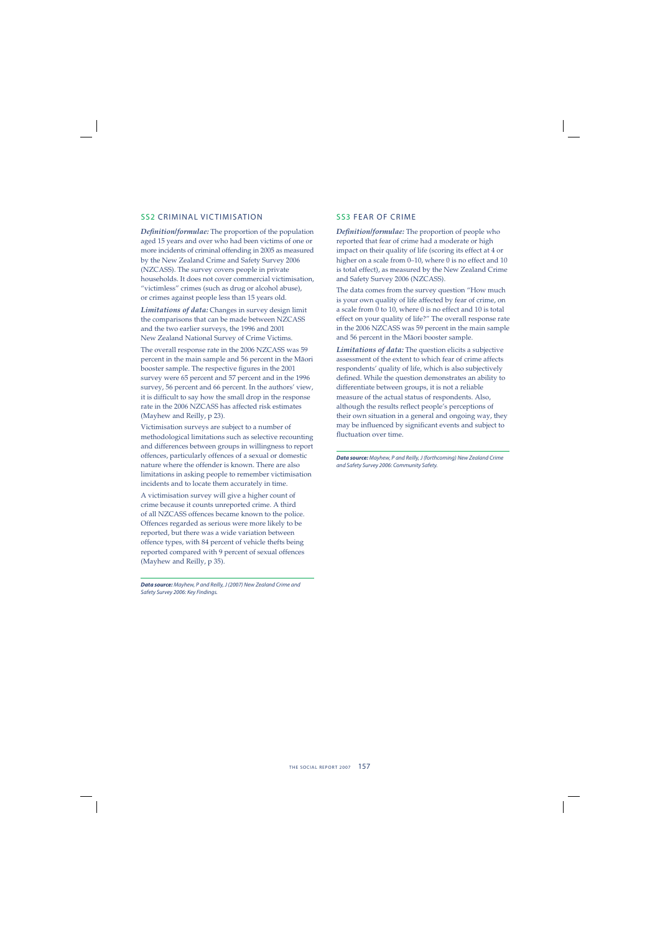#### SS2 CRIMINAL VICTIMISATION

*Definition/formulae:* The proportion of the population aged 15 years and over who had been victims of one or more incidents of criminal offending in 2005 as measured by the New Zealand Crime and Safety Survey 2006 (NZCASS). The survey covers people in private households. It does not cover commercial victimisation, "victimless" crimes (such as drug or alcohol abuse), or crimes against people less than 15 years old.

*Limitations of data:* Changes in survey design limit the comparisons that can be made between NZCASS and the two earlier surveys, the 1996 and 2001 New Zealand National Survey of Crime Victims.

The overall response rate in the 2006 NZCASS was 59 percent in the main sample and 56 percent in the Mäori booster sample. The respective figures in the 2001 survey were 65 percent and 57 percent and in the 1996 survey, 56 percent and 66 percent. In the authors' view, it is difficult to say how the small drop in the response rate in the 2006 NZCASS has affected risk estimates (Mayhew and Reilly, p 23).

Victimisation surveys are subject to a number of methodological limitations such as selective recounting and differences between groups in willingness to report offences, particularly offences of a sexual or domestic nature where the offender is known. There are also limitations in asking people to remember victimisation incidents and to locate them accurately in time.

A victimisation survey will give a higher count of crime because it counts unreported crime. A third of all NZCASS offences became known to the police. Offences regarded as serious were more likely to be reported, but there was a wide variation between offence types, with 84 percent of vehicle thefts being reported compared with 9 percent of sexual offences (Mayhew and Reilly, p 35).

*Data source:* Mayhew, P and Reilly, J (2007) New Zealand Crime and Safety Survey 2006: Key Findings.

#### SS3 FEAR OF CRIME

*Definition/formulae:* The proportion of people who reported that fear of crime had a moderate or high impact on their quality of life (scoring its effect at 4 or higher on a scale from 0–10, where 0 is no effect and 10 is total effect), as measured by the New Zealand Crime and Safety Survey 2006 (NZCASS).

The data comes from the survey question "How much is your own quality of life affected by fear of crime, on a scale from 0 to 10, where 0 is no effect and 10 is total effect on your quality of life?" The overall response rate in the 2006 NZCASS was 59 percent in the main sample and 56 percent in the Mäori booster sample.

*Limitations of data:* The question elicits a subjective assessment of the extent to which fear of crime affects respondents' quality of life, which is also subjectively defined. While the question demonstrates an ability to differentiate between groups, it is not a reliable measure of the actual status of respondents. Also, although the results reflect people's perceptions of their own situation in a general and ongoing way, they may be influenced by significant events and subject to fluctuation over time.

*Data source:* Mayhew, P and Reilly, J (forthcoming) New Zealand Crime and Safety Survey 2006: Community Safety.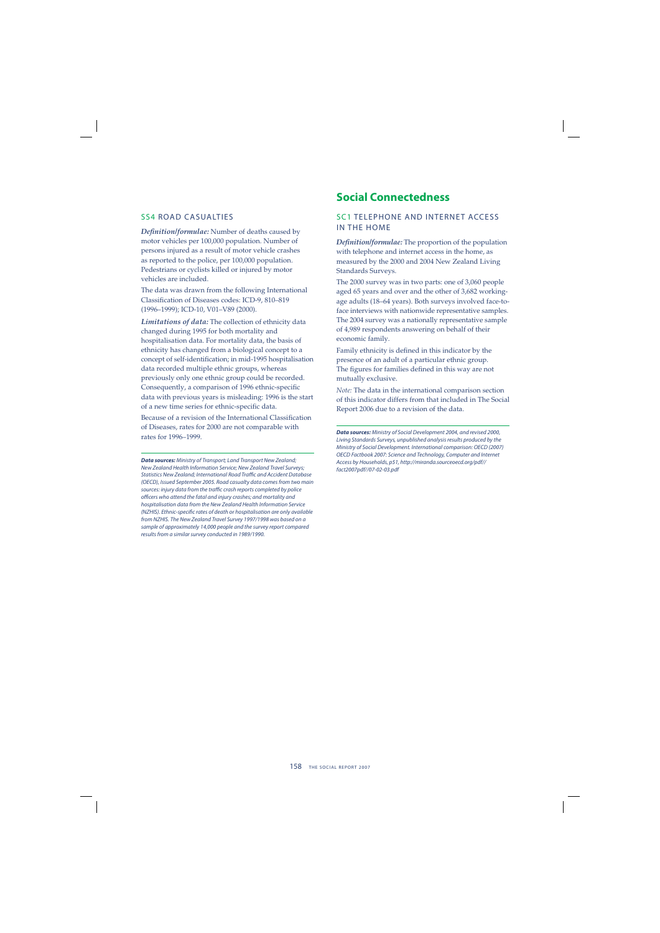#### SS4 ROAD CASUALTIES

Definition/formulae: Number of deaths caused by motor vehicles per 100,000 population. Number of persons injured as a result of motor vehicle crashes as reported to the police, per 100,000 population. Pedestrians or cyclists killed or injured by motor vehicles are included.

The data was drawn from the following International Classification of Diseases codes: ICD-9, 810-819 (1996–1999); ICD-10, V01–V89 (2000).

*Limitations of data:* The collection of ethnicity data changed during 1995 for both mortality and hospitalisation data. For mortality data, the basis of ethnicity has changed from a biological concept to a concept of self-identification; in mid-1995 hospitalisation data recorded multiple ethnic groups, whereas previously only one ethnic group could be recorded. Consequently, a comparison of 1996 ethnic-specific data with previous years is misleading: 1996 is the start of a new time series for ethnic-specific data.

Because of a revision of the International Classification of Diseases, rates for 2000 are not comparable with rates for 1996–1999.

*Data sources:* Ministry of Transport; Land Transport New Zealand; New Zealand Health Information Service; New Zealand Travel Surveys; Statistics New Zealand; International Road Traffic and Accident Database (OECD), Issued September 2005. Road casualty data comes from two main sources: injury data from the traffic crash reports completed by police officers who attend the fatal and injury crashes; and mortality and hospitalisation data from the New Zealand Health Information Service (NZHIS). Ethnic-specific rates of death or hospitalisation are only available from NZHIS. The New Zealand Travel Survey 1997/1998 was based on a sample of approximately 14,000 people and the survey report compared results from a similar survey conducted in 1989/1990.

### **Social Connectedness**

#### SC1 TELEPHONE AND INTERNET ACCESS IN THE HOME

**Definition/formulae:** The proportion of the population with telephone and internet access in the home, as measured by the 2000 and 2004 New Zealand Living Standards Surveys.

The 2000 survey was in two parts: one of 3,060 people aged 65 years and over and the other of 3,682 workingage adults (18–64 years). Both surveys involved face-toface interviews with nationwide representative samples. The 2004 survey was a nationally representative sample of 4,989 respondents answering on behalf of their economic family.

Family ethnicity is defined in this indicator by the presence of an adult of a particular ethnic group. The figures for families defined in this way are not mutually exclusive.

*Note:* The data in the international comparison section of this indicator differs from that included in The Social Report 2006 due to a revision of the data.

*Data sources:* Ministry of Social Development 2004, and revised 2000, Living Standards Surveys, unpublished analysis results produced by the Ministry of Social Development. International comparison: OECD (2007) OECD Factbook 2007: Science and Technology, Computer and Internet Access by Households, p51, http://miranda.sourceoecd.org/pdf// fact2007pdf//07-02-03.pdf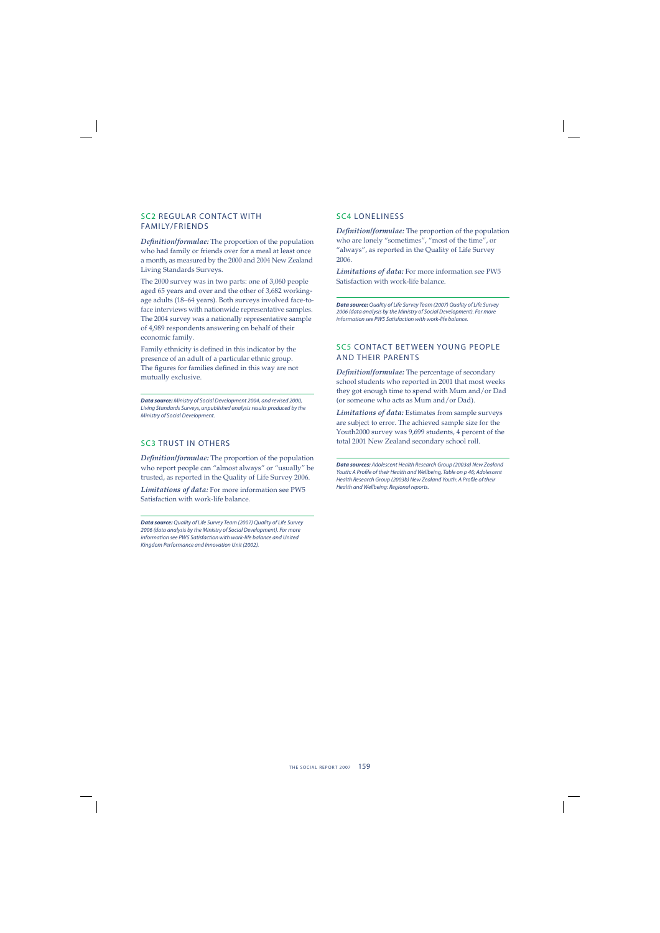#### SC2 REGULAR CONTACT WITH FAMILY/FRIENDS

*Definition/formulae:* The proportion of the population who had family or friends over for a meal at least once a month, as measured by the 2000 and 2004 New Zealand Living Standards Surveys.

The 2000 survey was in two parts: one of 3,060 people aged 65 years and over and the other of 3,682 workingage adults (18–64 years). Both surveys involved face-toface interviews with nationwide representative samples. The 2004 survey was a nationally representative sample of 4,989 respondents answering on behalf of their economic family.

Family ethnicity is defined in this indicator by the presence of an adult of a particular ethnic group. The figures for families defined in this way are not mutually exclusive.

*Data source:* Ministry of Social Development 2004, and revised 2000, Living Standards Surveys, unpublished analysis results produced by the Ministry of Social Development.

#### SC3 TRUST IN OTHERS

*Definition/formulae:* The proportion of the population who report people can "almost always" or "usually" be trusted, as reported in the Quality of Life Survey 2006.

*Limitations of data:* For more information see PW5 Satisfaction with work-life balance.

*Data source:* Quality of Life Survey Team (2007) Quality of Life Survey 2006 (data analysis by the Ministry of Social Development). For more information see PW5 Satisfaction with work-life balance and United Kingdom Performance and Innovation Unit (2002).

#### SC4 LONELINESS

*Definition/formulae:* The proportion of the population who are lonely "sometimes", "most of the time", or "always", as reported in the Quality of Life Survey 2006.

*Limitations of data:* For more information see PW5 Satisfaction with work-life balance.

*Data source:* Quality of Life Survey Team (2007) Quality of Life Survey 2006 (data analysis by the Ministry of Social Development). For more information see PW5 Satisfaction with work-life balance.

#### SC5 CONTACT BETWEEN YOUNG PEOPLE AND THEIR PARENTS

**Definition/formulae:** The percentage of secondary school students who reported in 2001 that most weeks they got enough time to spend with Mum and/or Dad (or someone who acts as Mum and/or Dad).

*Limitations of data:* Estimates from sample surveys are subject to error. The achieved sample size for the Youth2000 survey was 9,699 students, 4 percent of the total 2001 New Zealand secondary school roll.

*Data sources:* Adolescent Health Research Group (2003a) New Zealand Youth: A Profile of their Health and Wellbeing, Table on p 46; Adolescent Health Research Group (2003b) New Zealand Youth: A Profile of their Health and Wellbeing: Regional reports.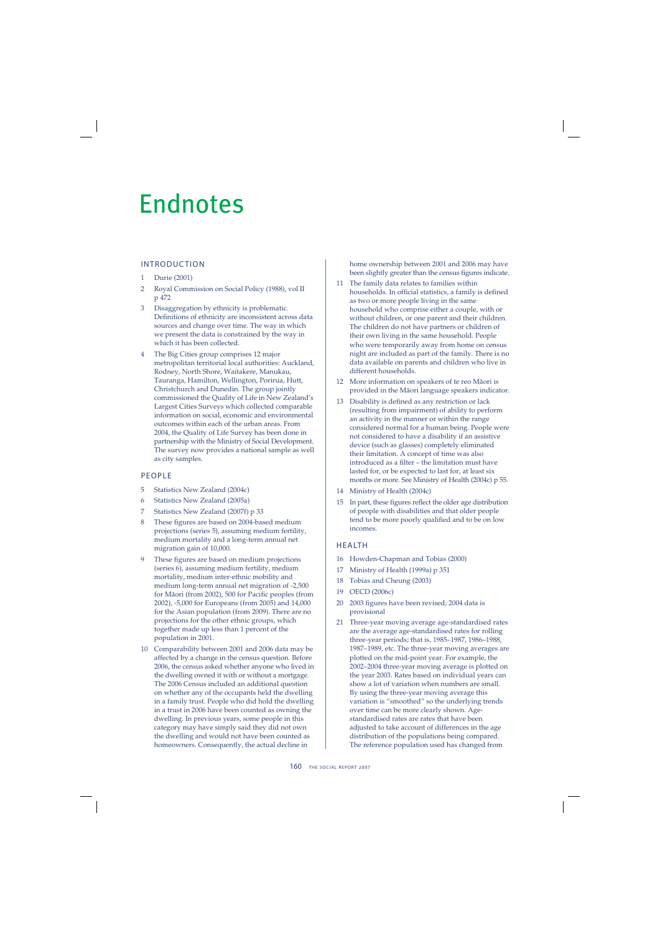# Endnotes

#### INTRODUCTION

- 1 Durie (2001)
- 2 Royal Commission on Social Policy (1988), vol II p 472
- 3 Disaggregation by ethnicity is problematic. Definitions of ethnicity are inconsistent across data sources and change over time. The way in which we present the data is constrained by the way in which it has been collected.
- 4 The Big Cities group comprises 12 major metropolitan territorial local authorities: Auckland, Rodney, North Shore, Waitakere, Manukau, Tauranga, Hamilton, Wellington, Porirua, Hutt, Christchurch and Dunedin. The group jointly commissioned the Quality of Life in New Zealand's Largest Cities Surveys which collected comparable information on social, economic and environmental outcomes within each of the urban areas. From 2004, the Quality of Life Survey has been done in partnership with the Ministry of Social Development. The survey now provides a national sample as well as city samples.

#### PEOPLE

- 5 Statistics New Zealand (2004c)
- 6 Statistics New Zealand (2005a)
- 7 Statistics New Zealand (2007f) p 33
- 8 These figures are based on 2004-based medium projections (series 5), assuming medium fertility, medium mortality and a long-term annual net migration gain of 10,000.
- 9 These figures are based on medium projections (series 6), assuming medium fertility, medium mortality, medium inter-ethnic mobility and medium long-term annual net migration of -2,500 for Māori (from 2002), 500 for Pacific peoples (from 2002), -5,000 for Europeans (from 2005) and 14,000 for the Asian population (from 2009). There are no projections for the other ethnic groups, which together made up less than 1 percent of the population in 2001.
- 10 Comparability between 2001 and 2006 data may be affected by a change in the census question. Before 2006, the census asked whether anyone who lived in the dwelling owned it with or without a mortgage. The 2006 Census included an additional question on whether any of the occupants held the dwelling in a family trust. People who did hold the dwelling in a trust in 2006 have been counted as owning the dwelling. In previous years, some people in this category may have simply said they did not own the dwelling and would not have been counted as homeowners. Consequently, the actual decline in

home ownership between 2001 and 2006 may have been slightly greater than the census figures indicate.

- 11 The family data relates to families within households. In official statistics, a family is defined as two or more people living in the same household who comprise either a couple, with or without children, or one parent and their children. The children do not have partners or children of their own living in the same household. People who were temporarily away from home on census night are included as part of the family. There is no data available on parents and children who live in different households.
- 12 More information on speakers of te reo Mäori is provided in the Mäori language speakers indicator.
- 13 Disability is defined as any restriction or lack (resulting from impairment) of ability to perform an activity in the manner or within the range considered normal for a human being. People were not considered to have a disability if an assistive device (such as glasses) completely eliminated their limitation. A concept of time was also introduced as a filter – the limitation must have lasted for, or be expected to last for, at least six months or more. See Ministry of Health (2004c) p 55.
- 14 Ministry of Health (2004c)
- 15 In part, these figures reflect the older age distribution of people with disabilities and that older people tend to be more poorly qualified and to be on low incomes.

#### HEALTH

- 16 Howden-Chapman and Tobias (2000)
- 17 Ministry of Health (1999a) p 351
- 18 Tobias and Cheung (2003)
- 19 OECD (2006c)
- 20 2003 figures have been revised; 2004 data is provisional
- 21 Three-year moving average age-standardised rates are the average age-standardised rates for rolling three-year periods; that is, 1985–1987, 1986–1988, 1987–1989, etc. The three-year moving averages are plotted on the mid-point year. For example, the 2002–2004 three-year moving average is plotted on the year 2003. Rates based on individual years can show a lot of variation when numbers are small. By using the three-year moving average this variation is "smoothed" so the underlying trends over time can be more clearly shown. Agestandardised rates are rates that have been adjusted to take account of differences in the age distribution of the populations being compared. The reference population used has changed from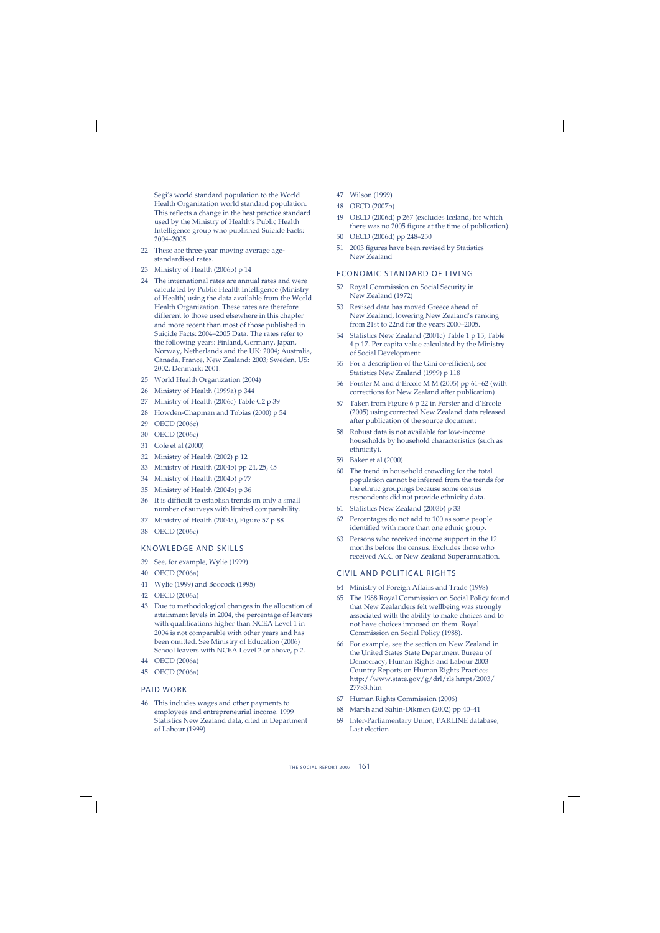Segi's world standard population to the World Health Organization world standard population. This reflects a change in the best practice standard used by the Ministry of Health's Public Health Intelligence group who published Suicide Facts: 2004–2005.

- 22 These are three-year moving average agestandardised rates.
- 23 Ministry of Health (2006b) p 14
- 24 The international rates are annual rates and were calculated by Public Health Intelligence (Ministry of Health) using the data available from the World Health Organization. These rates are therefore different to those used elsewhere in this chapter and more recent than most of those published in Suicide Facts: 2004–2005 Data. The rates refer to the following years: Finland, Germany, Japan, Norway, Netherlands and the UK: 2004; Australia, Canada, France, New Zealand: 2003; Sweden, US: 2002; Denmark: 2001.
- 25 World Health Organization (2004)
- 26 Ministry of Health (1999a) p 344
- 27 Ministry of Health (2006c) Table C2 p 39
- 28 Howden-Chapman and Tobias (2000) p 54
- 29 OECD (2006c)
- 30 OECD (2006c)
- 31 Cole et al (2000)
- 32 Ministry of Health (2002) p 12
- 33 Ministry of Health (2004b) pp 24, 25, 45
- 34 Ministry of Health (2004b) p 77
- 35 Ministry of Health (2004b) p 36
- 36 It is difficult to establish trends on only a small number of surveys with limited comparability.
- 37 Ministry of Health (2004a), Figure 57 p 88
- 38 OECD (2006c)

#### KNOWLEDGE AND SKILLS

- 39 See, for example, Wylie (1999)
- 40 OECD (2006a)
- 41 Wylie (1999) and Boocock (1995)
- 42 OECD (2006a)
- 43 Due to methodological changes in the allocation of attainment levels in 2004, the percentage of leavers with qualifications higher than NCEA Level 1 in 2004 is not comparable with other years and has been omitted. See Ministry of Education (2006) School leavers with NCEA Level 2 or above, p 2.
- 44 OECD (2006a)
- 45 OECD (2006a)

#### PAID WORK

46 This includes wages and other payments to employees and entrepreneurial income. 1999 Statistics New Zealand data, cited in Department of Labour (1999)

- 47 Wilson (1999)
- 48 OECD (2007b)
- 49 OECD (2006d) p 267 (excludes Iceland, for which there was no 2005 figure at the time of publication)
- 50 OECD (2006d) pp 248–250
- 51 2003 figures have been revised by Statistics New Zealand

#### ECONOMIC STANDARD OF LIVING

- 52 Royal Commission on Social Security in New Zealand (1972)
- 53 Revised data has moved Greece ahead of New Zealand, lowering New Zealand's ranking from 21st to 22nd for the years 2000–2005.
- 54 Statistics New Zealand (2001c) Table 1 p 15, Table 4 p 17. Per capita value calculated by the Ministry of Social Development
- 55 For a description of the Gini co-efficient, see Statistics New Zealand (1999) p 118
- 56 Forster M and d'Ercole M M (2005) pp 61–62 (with corrections for New Zealand after publication)
- 57 Taken from Figure 6 p 22 in Forster and d'Ercole (2005) using corrected New Zealand data released after publication of the source document
- 58 Robust data is not available for low-income households by household characteristics (such as ethnicity).
- 59 Baker et al (2000)
- 60 The trend in household crowding for the total population cannot be inferred from the trends for the ethnic groupings because some census respondents did not provide ethnicity data.
- 61 Statistics New Zealand (2003b) p 33
- 62 Percentages do not add to 100 as some people identified with more than one ethnic group.
- 63 Persons who received income support in the 12 months before the census. Excludes those who received ACC or New Zealand Superannuation.

#### CIVIL AND POLITICAL RIGHTS

- 64 Ministry of Foreign Affairs and Trade (1998)
- 65 The 1988 Royal Commission on Social Policy found that New Zealanders felt wellbeing was strongly associated with the ability to make choices and to not have choices imposed on them. Royal Commission on Social Policy (1988).
- 66 For example, see the section on New Zealand in the United States State Department Bureau of Democracy, Human Rights and Labour 2003 Country Reports on Human Rights Practices http://www.state.gov/g/drl/rls hrrpt/2003/ 27783.htm
- 67 Human Rights Commission (2006)
- 68 Marsh and Sahin-Dikmen (2002) pp 40–41
- 69 Inter-Parliamentary Union, PARLINE database, Last election